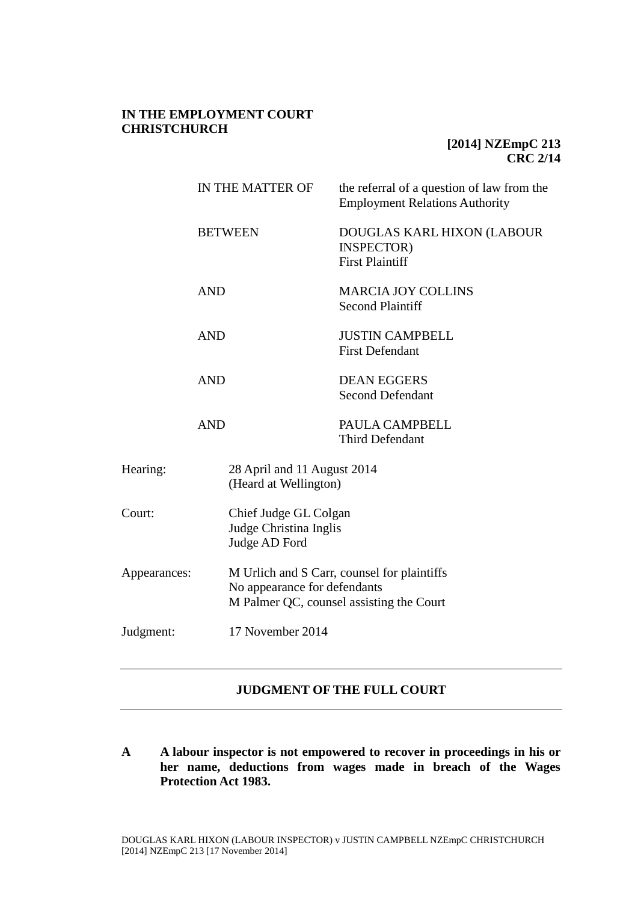# **IN THE EMPLOYMENT COURT CHRISTCHURCH**

# **[2014] NZEmpC 213 CRC 2/14**

|              | IN THE MATTER OF<br><b>BETWEEN</b><br><b>AND</b><br><b>AND</b> |                                                                                                                         | the referral of a question of law from the<br><b>Employment Relations Authority</b> |  |
|--------------|----------------------------------------------------------------|-------------------------------------------------------------------------------------------------------------------------|-------------------------------------------------------------------------------------|--|
|              |                                                                |                                                                                                                         | DOUGLAS KARL HIXON (LABOUR<br><b>INSPECTOR</b> )<br><b>First Plaintiff</b>          |  |
|              |                                                                |                                                                                                                         | <b>MARCIA JOY COLLINS</b><br><b>Second Plaintiff</b>                                |  |
|              |                                                                |                                                                                                                         | <b>JUSTIN CAMPBELL</b><br><b>First Defendant</b>                                    |  |
|              | <b>AND</b>                                                     |                                                                                                                         | <b>DEAN EGGERS</b><br><b>Second Defendant</b>                                       |  |
|              | <b>AND</b>                                                     |                                                                                                                         | PAULA CAMPBELL<br><b>Third Defendant</b>                                            |  |
| Hearing:     |                                                                | 28 April and 11 August 2014<br>(Heard at Wellington)                                                                    |                                                                                     |  |
| Court:       |                                                                | Chief Judge GL Colgan<br>Judge Christina Inglis<br>Judge AD Ford                                                        |                                                                                     |  |
| Appearances: |                                                                | M Urlich and S Carr, counsel for plaintiffs<br>No appearance for defendants<br>M Palmer QC, counsel assisting the Court |                                                                                     |  |
| Judgment:    |                                                                | 17 November 2014                                                                                                        |                                                                                     |  |

# **JUDGMENT OF THE FULL COURT**

**A A labour inspector is not empowered to recover in proceedings in his or her name, deductions from wages made in breach of the Wages Protection Act 1983.**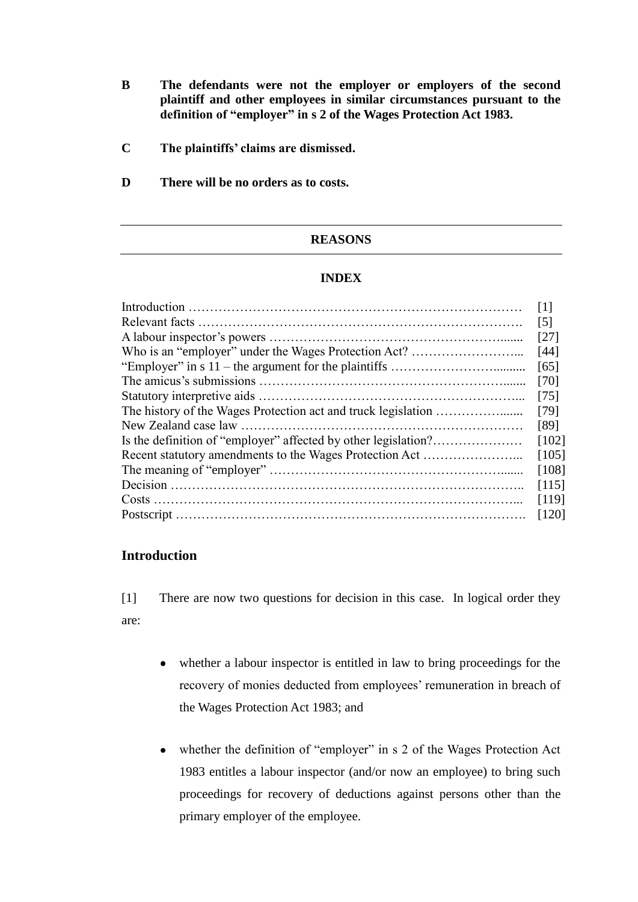- **B The defendants were not the employer or employers of the second plaintiff and other employees in similar circumstances pursuant to the definition of "employer" in s 2 of the Wages Protection Act 1983.**
- **C The plaintiffs' claims are dismissed.**
- **D There will be no orders as to costs.**

## **REASONS**

### **INDEX**

|                                                                | $\lceil 1 \rceil$ |  |  |  |
|----------------------------------------------------------------|-------------------|--|--|--|
|                                                                | $\lceil 5 \rceil$ |  |  |  |
|                                                                |                   |  |  |  |
|                                                                |                   |  |  |  |
|                                                                | [65]              |  |  |  |
|                                                                | [70]              |  |  |  |
|                                                                | $[75]$            |  |  |  |
|                                                                |                   |  |  |  |
|                                                                | [89]              |  |  |  |
| Is the definition of "employer" affected by other legislation? |                   |  |  |  |
| Recent statutory amendments to the Wages Protection Act        |                   |  |  |  |
|                                                                |                   |  |  |  |
|                                                                | [115]             |  |  |  |
|                                                                | [119]             |  |  |  |
|                                                                | [120]             |  |  |  |
|                                                                |                   |  |  |  |

## **Introduction**

[1] There are now two questions for decision in this case. In logical order they are:

- whether a labour inspector is entitled in law to bring proceedings for the recovery of monies deducted from employees' remuneration in breach of the Wages Protection Act 1983; and
- whether the definition of "employer" in s 2 of the Wages Protection Act 1983 entitles a labour inspector (and/or now an employee) to bring such proceedings for recovery of deductions against persons other than the primary employer of the employee.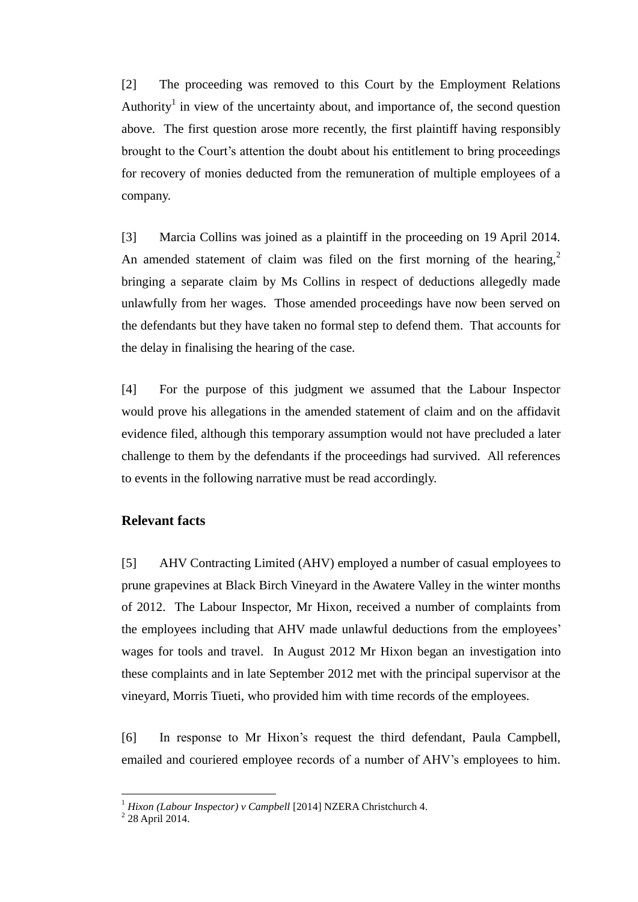[2] The proceeding was removed to this Court by the Employment Relations Authority<sup>1</sup> in view of the uncertainty about, and importance of, the second question above. The first question arose more recently, the first plaintiff having responsibly brought to the Court's attention the doubt about his entitlement to bring proceedings for recovery of monies deducted from the remuneration of multiple employees of a company.

[3] Marcia Collins was joined as a plaintiff in the proceeding on 19 April 2014. An amended statement of claim was filed on the first morning of the hearing,<sup>2</sup> bringing a separate claim by Ms Collins in respect of deductions allegedly made unlawfully from her wages. Those amended proceedings have now been served on the defendants but they have taken no formal step to defend them. That accounts for the delay in finalising the hearing of the case.

[4] For the purpose of this judgment we assumed that the Labour Inspector would prove his allegations in the amended statement of claim and on the affidavit evidence filed, although this temporary assumption would not have precluded a later challenge to them by the defendants if the proceedings had survived. All references to events in the following narrative must be read accordingly.

### **Relevant facts**

[5] AHV Contracting Limited (AHV) employed a number of casual employees to prune grapevines at Black Birch Vineyard in the Awatere Valley in the winter months of 2012. The Labour Inspector, Mr Hixon, received a number of complaints from the employees including that AHV made unlawful deductions from the employees' wages for tools and travel. In August 2012 Mr Hixon began an investigation into these complaints and in late September 2012 met with the principal supervisor at the vineyard, Morris Tiueti, who provided him with time records of the employees.

[6] In response to Mr Hixon's request the third defendant, Paula Campbell, emailed and couriered employee records of a number of AHV's employees to him.

<sup>&</sup>lt;sup>1</sup> Hixon (Labour Inspector) v Campbell [2014] NZERA Christchurch 4.<br><sup>2</sup> 28 April 2014.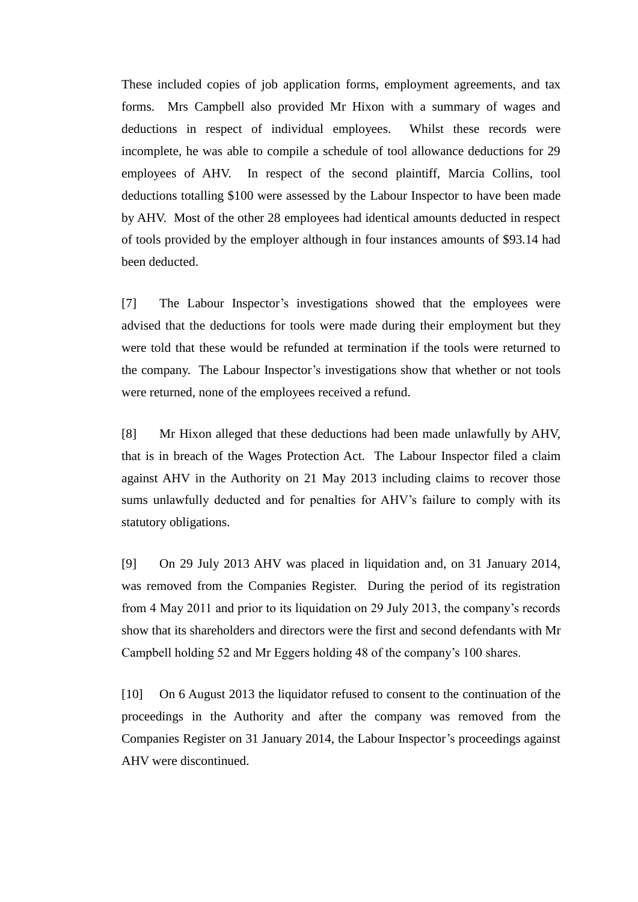These included copies of job application forms, employment agreements, and tax forms. Mrs Campbell also provided Mr Hixon with a summary of wages and deductions in respect of individual employees. Whilst these records were incomplete, he was able to compile a schedule of tool allowance deductions for 29 employees of AHV. In respect of the second plaintiff, Marcia Collins, tool deductions totalling \$100 were assessed by the Labour Inspector to have been made by AHV. Most of the other 28 employees had identical amounts deducted in respect of tools provided by the employer although in four instances amounts of \$93.14 had been deducted.

[7] The Labour Inspector's investigations showed that the employees were advised that the deductions for tools were made during their employment but they were told that these would be refunded at termination if the tools were returned to the company. The Labour Inspector's investigations show that whether or not tools were returned, none of the employees received a refund.

[8] Mr Hixon alleged that these deductions had been made unlawfully by AHV, that is in breach of the Wages Protection Act. The Labour Inspector filed a claim against AHV in the Authority on 21 May 2013 including claims to recover those sums unlawfully deducted and for penalties for AHV's failure to comply with its statutory obligations.

[9] On 29 July 2013 AHV was placed in liquidation and, on 31 January 2014, was removed from the Companies Register. During the period of its registration from 4 May 2011 and prior to its liquidation on 29 July 2013, the company's records show that its shareholders and directors were the first and second defendants with Mr Campbell holding 52 and Mr Eggers holding 48 of the company's 100 shares.

[10] On 6 August 2013 the liquidator refused to consent to the continuation of the proceedings in the Authority and after the company was removed from the Companies Register on 31 January 2014, the Labour Inspector's proceedings against AHV were discontinued.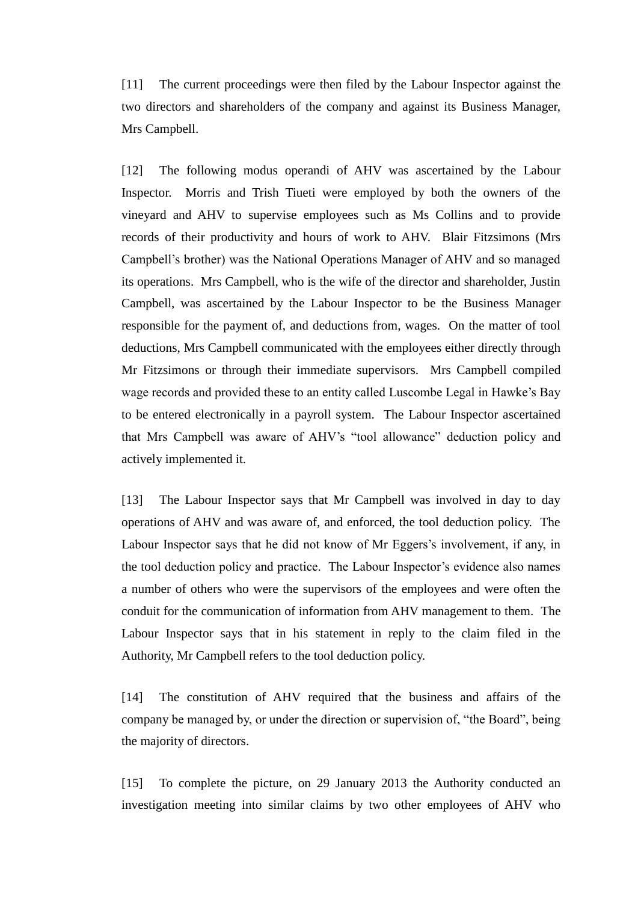[11] The current proceedings were then filed by the Labour Inspector against the two directors and shareholders of the company and against its Business Manager, Mrs Campbell.

[12] The following modus operandi of AHV was ascertained by the Labour Inspector. Morris and Trish Tiueti were employed by both the owners of the vineyard and AHV to supervise employees such as Ms Collins and to provide records of their productivity and hours of work to AHV. Blair Fitzsimons (Mrs Campbell's brother) was the National Operations Manager of AHV and so managed its operations. Mrs Campbell, who is the wife of the director and shareholder, Justin Campbell, was ascertained by the Labour Inspector to be the Business Manager responsible for the payment of, and deductions from, wages. On the matter of tool deductions, Mrs Campbell communicated with the employees either directly through Mr Fitzsimons or through their immediate supervisors. Mrs Campbell compiled wage records and provided these to an entity called Luscombe Legal in Hawke's Bay to be entered electronically in a payroll system. The Labour Inspector ascertained that Mrs Campbell was aware of AHV's "tool allowance" deduction policy and actively implemented it.

[13] The Labour Inspector says that Mr Campbell was involved in day to day operations of AHV and was aware of, and enforced, the tool deduction policy. The Labour Inspector says that he did not know of Mr Eggers's involvement, if any, in the tool deduction policy and practice. The Labour Inspector's evidence also names a number of others who were the supervisors of the employees and were often the conduit for the communication of information from AHV management to them. The Labour Inspector says that in his statement in reply to the claim filed in the Authority, Mr Campbell refers to the tool deduction policy.

[14] The constitution of AHV required that the business and affairs of the company be managed by, or under the direction or supervision of, "the Board", being the majority of directors.

[15] To complete the picture, on 29 January 2013 the Authority conducted an investigation meeting into similar claims by two other employees of AHV who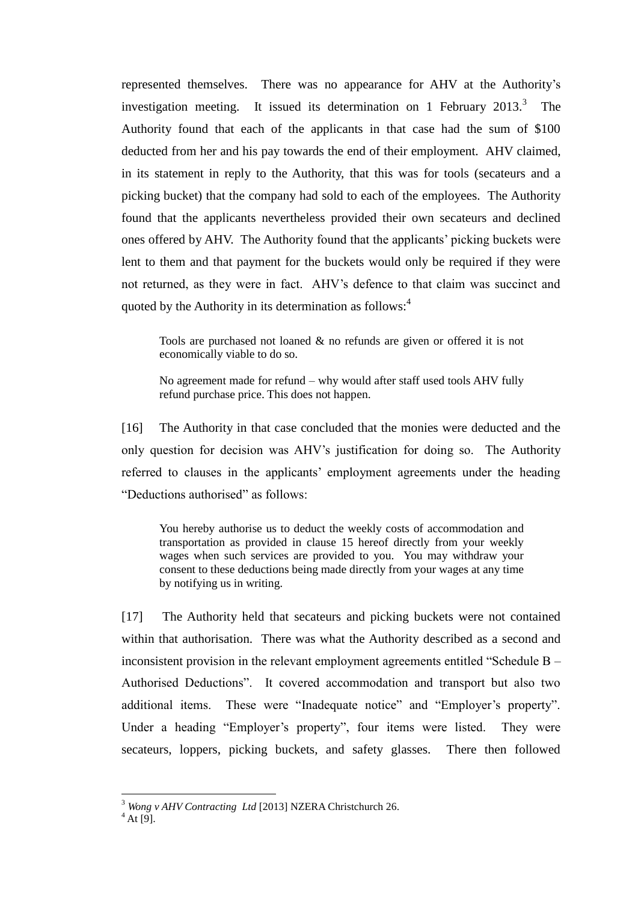represented themselves. There was no appearance for AHV at the Authority's investigation meeting. It issued its determination on 1 February  $2013.<sup>3</sup>$  The Authority found that each of the applicants in that case had the sum of \$100 deducted from her and his pay towards the end of their employment. AHV claimed, in its statement in reply to the Authority, that this was for tools (secateurs and a picking bucket) that the company had sold to each of the employees. The Authority found that the applicants nevertheless provided their own secateurs and declined ones offered by AHV. The Authority found that the applicants' picking buckets were lent to them and that payment for the buckets would only be required if they were not returned, as they were in fact. AHV's defence to that claim was succinct and quoted by the Authority in its determination as follows:<sup>4</sup>

Tools are purchased not loaned & no refunds are given or offered it is not economically viable to do so.

No agreement made for refund – why would after staff used tools AHV fully refund purchase price. This does not happen.

[16] The Authority in that case concluded that the monies were deducted and the only question for decision was AHV's justification for doing so. The Authority referred to clauses in the applicants' employment agreements under the heading "Deductions authorised" as follows:

You hereby authorise us to deduct the weekly costs of accommodation and transportation as provided in clause 15 hereof directly from your weekly wages when such services are provided to you. You may withdraw your consent to these deductions being made directly from your wages at any time by notifying us in writing.

[17] The Authority held that secateurs and picking buckets were not contained within that authorisation. There was what the Authority described as a second and inconsistent provision in the relevant employment agreements entitled "Schedule B – Authorised Deductions". It covered accommodation and transport but also two additional items. These were "Inadequate notice" and "Employer's property". Under a heading "Employer's property", four items were listed. They were secateurs, loppers, picking buckets, and safety glasses. There then followed

<sup>3</sup> *Wong v AHV Contracting Ltd* [2013] NZERA Christchurch 26.

 $4$  At [9].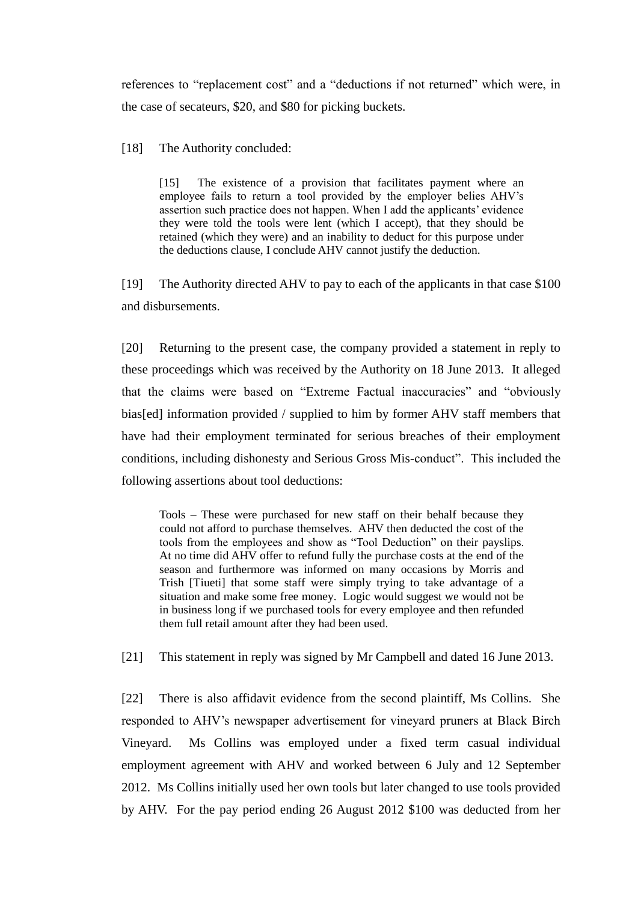references to "replacement cost" and a "deductions if not returned" which were, in the case of secateurs, \$20, and \$80 for picking buckets.

[18] The Authority concluded:

[15] The existence of a provision that facilitates payment where an employee fails to return a tool provided by the employer belies AHV's assertion such practice does not happen. When I add the applicants' evidence they were told the tools were lent (which I accept), that they should be retained (which they were) and an inability to deduct for this purpose under the deductions clause, I conclude AHV cannot justify the deduction.

[19] The Authority directed AHV to pay to each of the applicants in that case \$100 and disbursements.

[20] Returning to the present case, the company provided a statement in reply to these proceedings which was received by the Authority on 18 June 2013. It alleged that the claims were based on "Extreme Factual inaccuracies" and "obviously bias[ed] information provided / supplied to him by former AHV staff members that have had their employment terminated for serious breaches of their employment conditions, including dishonesty and Serious Gross Mis-conduct". This included the following assertions about tool deductions:

Tools – These were purchased for new staff on their behalf because they could not afford to purchase themselves. AHV then deducted the cost of the tools from the employees and show as "Tool Deduction" on their payslips. At no time did AHV offer to refund fully the purchase costs at the end of the season and furthermore was informed on many occasions by Morris and Trish [Tiueti] that some staff were simply trying to take advantage of a situation and make some free money. Logic would suggest we would not be in business long if we purchased tools for every employee and then refunded them full retail amount after they had been used.

[21] This statement in reply was signed by Mr Campbell and dated 16 June 2013.

[22] There is also affidavit evidence from the second plaintiff, Ms Collins. She responded to AHV's newspaper advertisement for vineyard pruners at Black Birch Vineyard. Ms Collins was employed under a fixed term casual individual employment agreement with AHV and worked between 6 July and 12 September 2012. Ms Collins initially used her own tools but later changed to use tools provided by AHV. For the pay period ending 26 August 2012 \$100 was deducted from her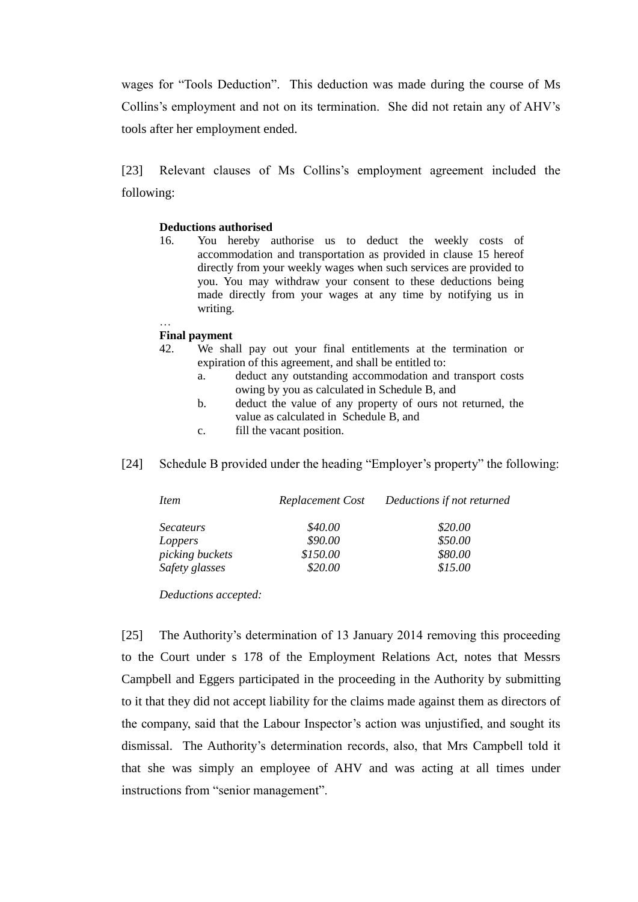wages for "Tools Deduction". This deduction was made during the course of Ms Collins's employment and not on its termination. She did not retain any of AHV's tools after her employment ended.

[23] Relevant clauses of Ms Collins's employment agreement included the following:

#### **Deductions authorised**

16. You hereby authorise us to deduct the weekly costs of accommodation and transportation as provided in clause 15 hereof directly from your weekly wages when such services are provided to you. You may withdraw your consent to these deductions being made directly from your wages at any time by notifying us in writing.

#### … **Final payment**

- 42. We shall pay out your final entitlements at the termination or expiration of this agreement, and shall be entitled to:
	- a. deduct any outstanding accommodation and transport costs owing by you as calculated in Schedule B, and
	- b. deduct the value of any property of ours not returned, the value as calculated in Schedule B, and
	- c. fill the vacant position.
- [24] Schedule B provided under the heading "Employer's property" the following:

| <i>Item</i>      | Replacement Cost | Deductions if not returned |
|------------------|------------------|----------------------------|
| <i>Secateurs</i> | \$40.00          | \$20.00                    |
| Loppers          | \$90.00          | \$50.00                    |
| picking buckets  | \$150.00         | \$80.00                    |
| Safety glasses   | \$20.00          | \$15.00                    |

*Deductions accepted:*

[25] The Authority's determination of 13 January 2014 removing this proceeding to the Court under s 178 of the Employment Relations Act, notes that Messrs Campbell and Eggers participated in the proceeding in the Authority by submitting to it that they did not accept liability for the claims made against them as directors of the company, said that the Labour Inspector's action was unjustified, and sought its dismissal. The Authority's determination records, also, that Mrs Campbell told it that she was simply an employee of AHV and was acting at all times under instructions from "senior management".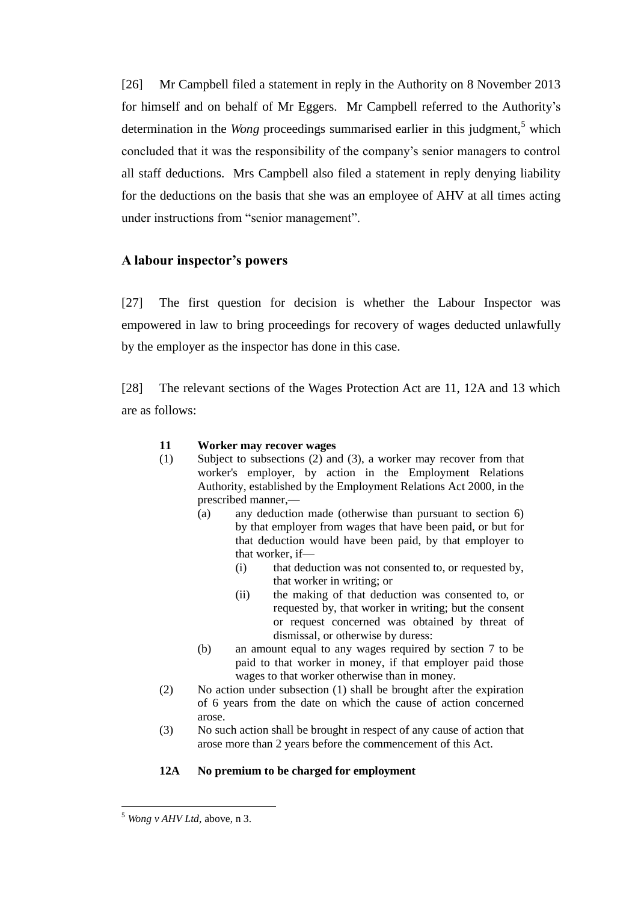[26] Mr Campbell filed a statement in reply in the Authority on 8 November 2013 for himself and on behalf of Mr Eggers. Mr Campbell referred to the Authority's determination in the *Wong* proceedings summarised earlier in this judgment,<sup>5</sup> which concluded that it was the responsibility of the company's senior managers to control all staff deductions. Mrs Campbell also filed a statement in reply denying liability for the deductions on the basis that she was an employee of AHV at all times acting under instructions from "senior management".

# **A labour inspector's powers**

[27] The first question for decision is whether the Labour Inspector was empowered in law to bring proceedings for recovery of wages deducted unlawfully by the employer as the inspector has done in this case.

[28] The relevant sections of the Wages Protection Act are 11, 12A and 13 which are as follows:

### **11 Worker may recover wages**

- (1) Subject to subsections (2) and (3), a worker may recover from that worker's employer, by action in the Employment Relations Authority, established by the Employment Relations Act 2000, in the prescribed manner,—
	- (a) any deduction made (otherwise than pursuant to section 6) by that employer from wages that have been paid, or but for that deduction would have been paid, by that employer to that worker, if—
		- (i) that deduction was not consented to, or requested by, that worker in writing; or
		- (ii) the making of that deduction was consented to, or requested by, that worker in writing; but the consent or request concerned was obtained by threat of dismissal, or otherwise by duress:
	- (b) an amount equal to any wages required by section 7 to be paid to that worker in money, if that employer paid those wages to that worker otherwise than in money.
- (2) No action under subsection (1) shall be brought after the expiration of 6 years from the date on which the cause of action concerned arose.
- (3) No such action shall be brought in respect of any cause of action that arose more than 2 years before the commencement of this Act.

# **12A No premium to be charged for employment**

<sup>5</sup> *Wong v AHV Ltd,* above, n 3.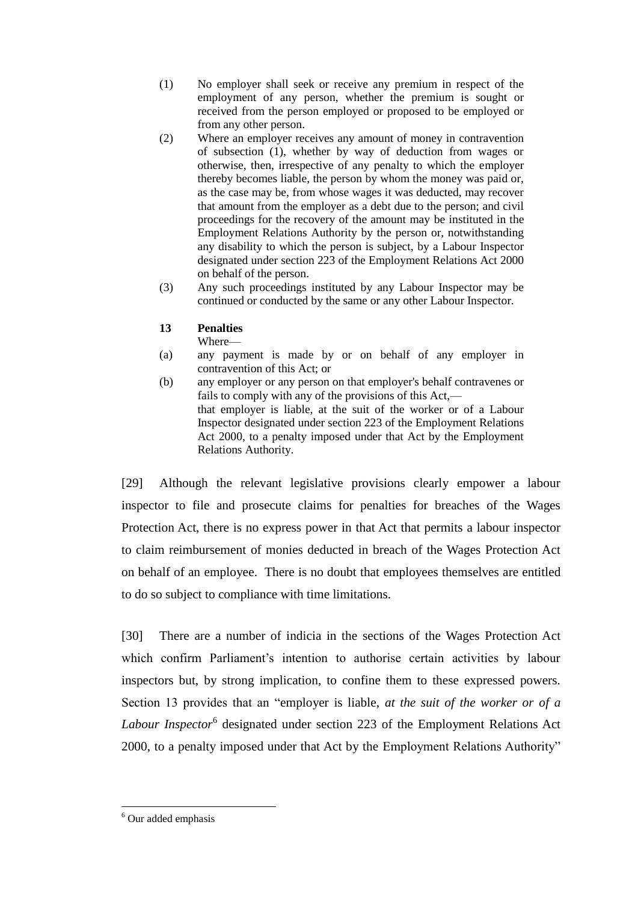- (1) No employer shall seek or receive any premium in respect of the employment of any person, whether the premium is sought or received from the person employed or proposed to be employed or from any other person.
- (2) Where an employer receives any amount of money in contravention of subsection (1), whether by way of deduction from wages or otherwise, then, irrespective of any penalty to which the employer thereby becomes liable, the person by whom the money was paid or, as the case may be, from whose wages it was deducted, may recover that amount from the employer as a debt due to the person; and civil proceedings for the recovery of the amount may be instituted in the Employment Relations Authority by the person or, notwithstanding any disability to which the person is subject, by a Labour Inspector designated under section 223 of the Employment Relations Act 2000 on behalf of the person.
- (3) Any such proceedings instituted by any Labour Inspector may be continued or conducted by the same or any other Labour Inspector.

### **13 Penalties**

Where—

- (a) any payment is made by or on behalf of any employer in contravention of this Act; or
- (b) any employer or any person on that employer's behalf contravenes or fails to comply with any of the provisions of this Act, that employer is liable, at the suit of the worker or of a Labour Inspector designated under section 223 of the Employment Relations Act 2000, to a penalty imposed under that Act by the Employment Relations Authority.

[29] Although the relevant legislative provisions clearly empower a labour inspector to file and prosecute claims for penalties for breaches of the Wages Protection Act, there is no express power in that Act that permits a labour inspector to claim reimbursement of monies deducted in breach of the Wages Protection Act on behalf of an employee. There is no doubt that employees themselves are entitled to do so subject to compliance with time limitations.

[30] There are a number of indicia in the sections of the Wages Protection Act which confirm Parliament's intention to authorise certain activities by labour inspectors but, by strong implication, to confine them to these expressed powers. Section 13 provides that an "employer is liable, *at the suit of the worker or of a Labour Inspector*<sup>6</sup> designated under section 223 of the Employment Relations Act 2000, to a penalty imposed under that Act by the Employment Relations Authority"

<sup>6</sup> Our added emphasis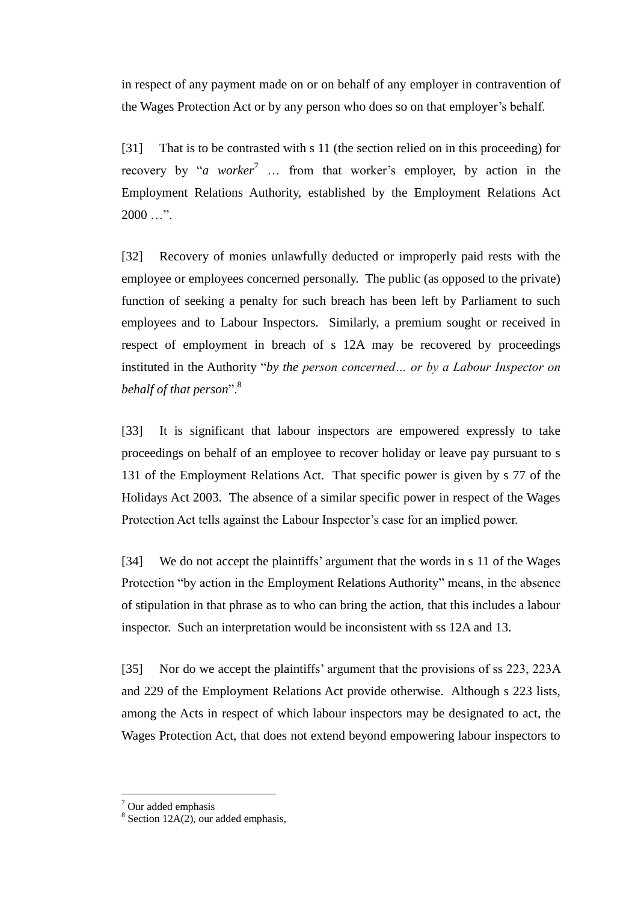in respect of any payment made on or on behalf of any employer in contravention of the Wages Protection Act or by any person who does so on that employer's behalf.

[31] That is to be contrasted with s 11 (the section relied on in this proceeding) for recovery by "*a worker*<sup>7</sup> ... from that worker's employer, by action in the Employment Relations Authority, established by the Employment Relations Act  $2000...$ ".

[32] Recovery of monies unlawfully deducted or improperly paid rests with the employee or employees concerned personally. The public (as opposed to the private) function of seeking a penalty for such breach has been left by Parliament to such employees and to Labour Inspectors. Similarly, a premium sought or received in respect of employment in breach of s 12A may be recovered by proceedings instituted in the Authority "*by the person concerned… or by a Labour Inspector on behalf of that person*". 8

[33] It is significant that labour inspectors are empowered expressly to take proceedings on behalf of an employee to recover holiday or leave pay pursuant to s 131 of the Employment Relations Act. That specific power is given by s 77 of the Holidays Act 2003. The absence of a similar specific power in respect of the Wages Protection Act tells against the Labour Inspector's case for an implied power.

[34] We do not accept the plaintiffs' argument that the words in s 11 of the Wages Protection "by action in the Employment Relations Authority" means, in the absence of stipulation in that phrase as to who can bring the action, that this includes a labour inspector. Such an interpretation would be inconsistent with ss 12A and 13.

[35] Nor do we accept the plaintiffs' argument that the provisions of ss 223, 223A and 229 of the Employment Relations Act provide otherwise. Although s 223 lists, among the Acts in respect of which labour inspectors may be designated to act, the Wages Protection Act, that does not extend beyond empowering labour inspectors to

<sup>7</sup> Our added emphasis

 $8$  Section 12A(2), our added emphasis,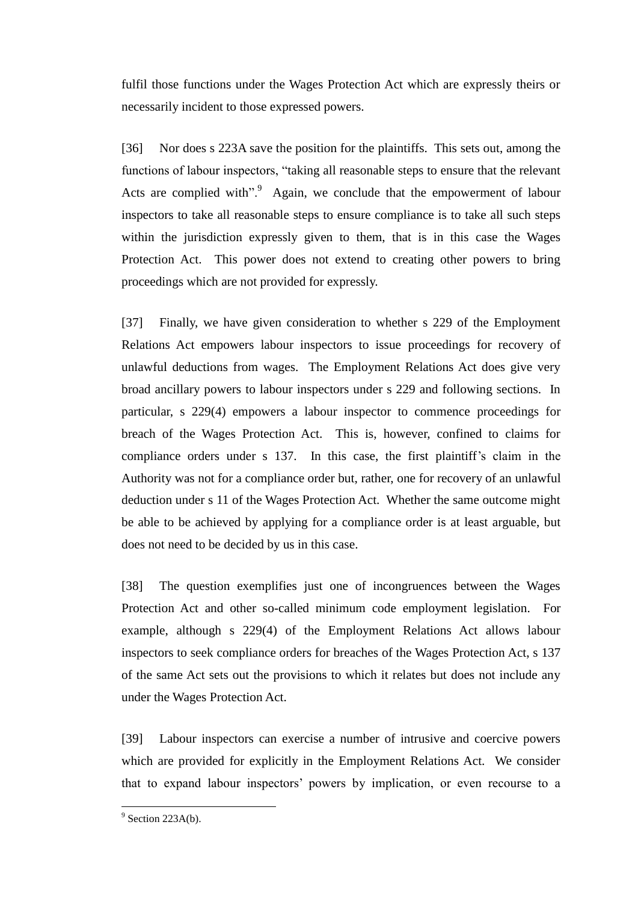fulfil those functions under the Wages Protection Act which are expressly theirs or necessarily incident to those expressed powers.

[36] Nor does s 223A save the position for the plaintiffs. This sets out, among the functions of labour inspectors, "taking all reasonable steps to ensure that the relevant Acts are complied with". $9$  Again, we conclude that the empowerment of labour inspectors to take all reasonable steps to ensure compliance is to take all such steps within the jurisdiction expressly given to them, that is in this case the Wages Protection Act. This power does not extend to creating other powers to bring proceedings which are not provided for expressly.

[37] Finally, we have given consideration to whether s 229 of the Employment Relations Act empowers labour inspectors to issue proceedings for recovery of unlawful deductions from wages. The Employment Relations Act does give very broad ancillary powers to labour inspectors under s 229 and following sections. In particular, s 229(4) empowers a labour inspector to commence proceedings for breach of the Wages Protection Act. This is, however, confined to claims for compliance orders under s 137. In this case, the first plaintiff's claim in the Authority was not for a compliance order but, rather, one for recovery of an unlawful deduction under s 11 of the Wages Protection Act. Whether the same outcome might be able to be achieved by applying for a compliance order is at least arguable, but does not need to be decided by us in this case.

[38] The question exemplifies just one of incongruences between the Wages Protection Act and other so-called minimum code employment legislation. For example, although s 229(4) of the Employment Relations Act allows labour inspectors to seek compliance orders for breaches of the Wages Protection Act, s 137 of the same Act sets out the provisions to which it relates but does not include any under the Wages Protection Act.

[39] Labour inspectors can exercise a number of intrusive and coercive powers which are provided for explicitly in the Employment Relations Act. We consider that to expand labour inspectors' powers by implication, or even recourse to a

 $\frac{9}{9}$  Section 223A(b).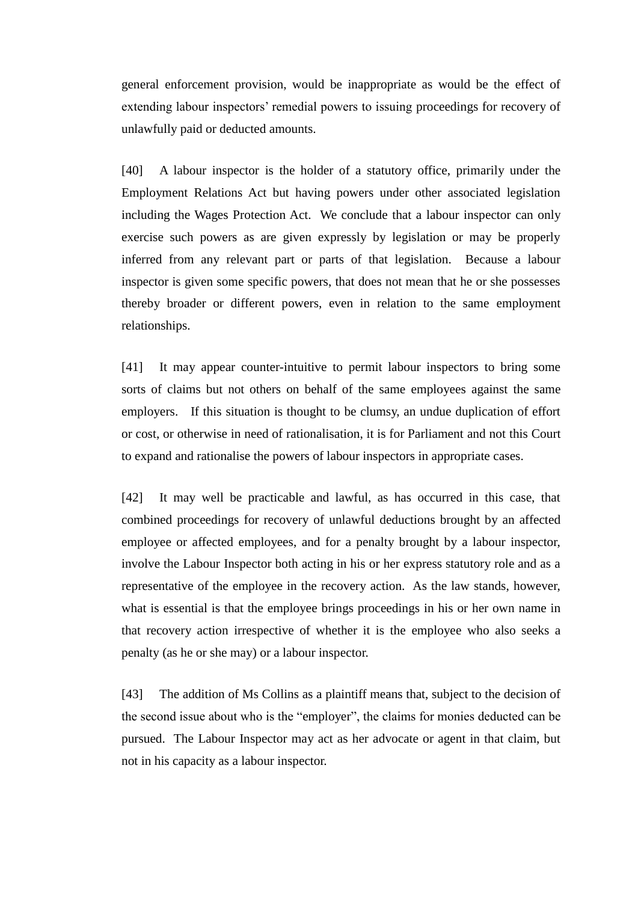general enforcement provision, would be inappropriate as would be the effect of extending labour inspectors' remedial powers to issuing proceedings for recovery of unlawfully paid or deducted amounts.

[40] A labour inspector is the holder of a statutory office, primarily under the Employment Relations Act but having powers under other associated legislation including the Wages Protection Act. We conclude that a labour inspector can only exercise such powers as are given expressly by legislation or may be properly inferred from any relevant part or parts of that legislation. Because a labour inspector is given some specific powers, that does not mean that he or she possesses thereby broader or different powers, even in relation to the same employment relationships.

[41] It may appear counter-intuitive to permit labour inspectors to bring some sorts of claims but not others on behalf of the same employees against the same employers. If this situation is thought to be clumsy, an undue duplication of effort or cost, or otherwise in need of rationalisation, it is for Parliament and not this Court to expand and rationalise the powers of labour inspectors in appropriate cases.

[42] It may well be practicable and lawful, as has occurred in this case, that combined proceedings for recovery of unlawful deductions brought by an affected employee or affected employees, and for a penalty brought by a labour inspector, involve the Labour Inspector both acting in his or her express statutory role and as a representative of the employee in the recovery action. As the law stands, however, what is essential is that the employee brings proceedings in his or her own name in that recovery action irrespective of whether it is the employee who also seeks a penalty (as he or she may) or a labour inspector.

[43] The addition of Ms Collins as a plaintiff means that, subject to the decision of the second issue about who is the "employer", the claims for monies deducted can be pursued. The Labour Inspector may act as her advocate or agent in that claim, but not in his capacity as a labour inspector.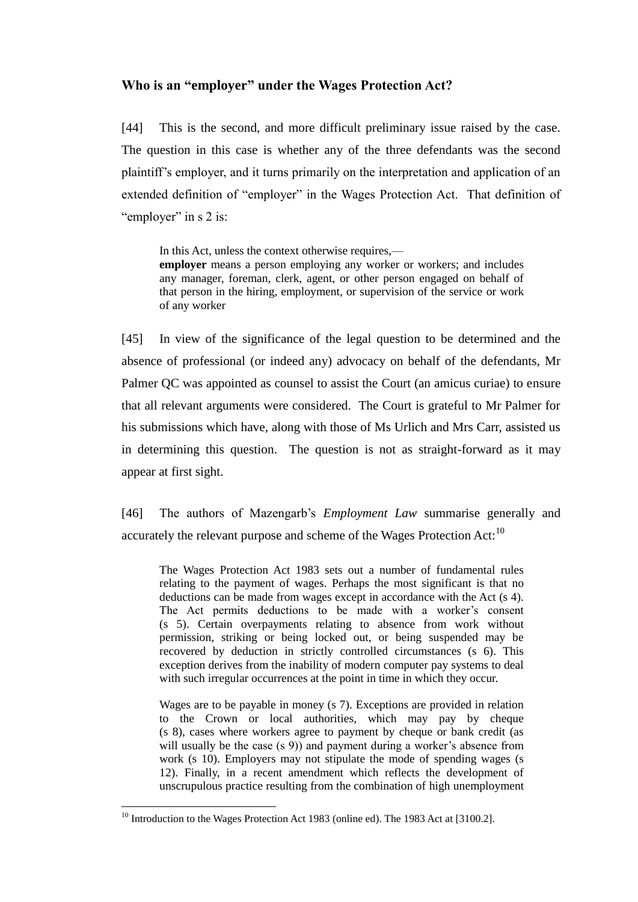# **Who is an "employer" under the Wages Protection Act?**

[44] This is the second, and more difficult preliminary issue raised by the case. The question in this case is whether any of the three defendants was the second plaintiff's employer, and it turns primarily on the interpretation and application of an extended definition of "employer" in the Wages Protection Act. That definition of "employer" in s 2 is:

In this Act, unless the context otherwise requires, **employer** means a person employing any worker or workers; and includes any manager, foreman, clerk, agent, or other person engaged on behalf of that person in the hiring, employment, or supervision of the service or work of any worker

[45] In view of the significance of the legal question to be determined and the absence of professional (or indeed any) advocacy on behalf of the defendants, Mr Palmer QC was appointed as counsel to assist the Court (an amicus curiae) to ensure that all relevant arguments were considered. The Court is grateful to Mr Palmer for his submissions which have, along with those of Ms Urlich and Mrs Carr, assisted us in determining this question. The question is not as straight-forward as it may appear at first sight.

[46] The authors of Mazengarb's *Employment Law* summarise generally and accurately the relevant purpose and scheme of the Wages Protection Act:<sup>10</sup>

The Wages Protection Act 1983 sets out a number of fundamental rules relating to the payment of wages. Perhaps the most significant is that no deductions can be made from wages except in accordance with the Act (s 4). The Act permits deductions to be made with a worker's consent (s 5). Certain overpayments relating to absence from work without permission, striking or being locked out, or being suspended may be recovered by deduction in strictly controlled circumstances (s 6). This exception derives from the inability of modern computer pay systems to deal with such irregular occurrences at the point in time in which they occur.

Wages are to be payable in money (s 7). Exceptions are provided in relation to the Crown or local authorities, which may pay by cheque (s 8), cases where workers agree to payment by cheque or bank credit (as will usually be the case (s 9)) and payment during a worker's absence from work (s 10). Employers may not stipulate the mode of spending wages (s 12). Finally, in a recent amendment which reflects the development of unscrupulous practice resulting from the combination of high unemployment

<sup>&</sup>lt;sup>10</sup> Introduction to the Wages Protection Act 1983 (online ed). The 1983 Act at [3100.2].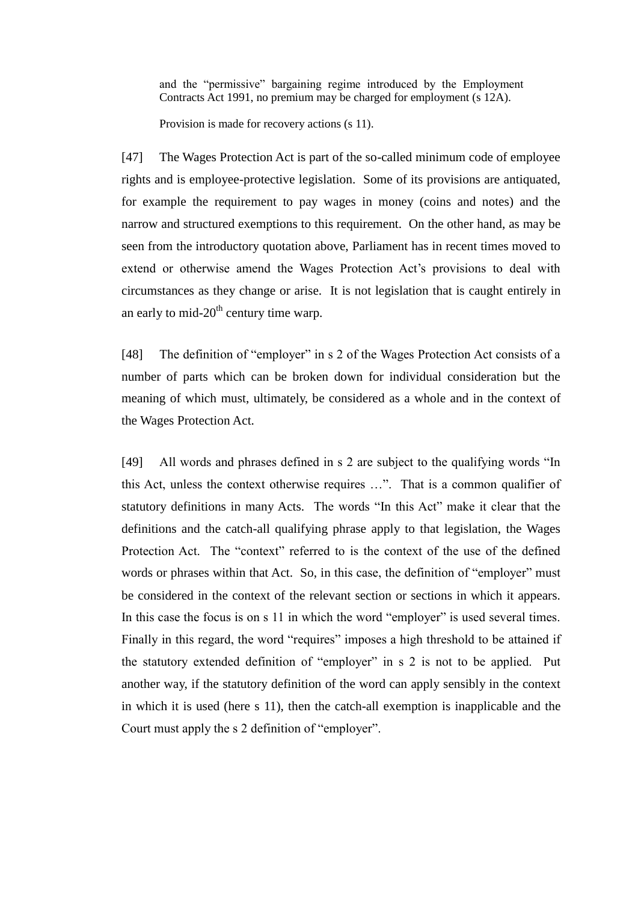and the "permissive" bargaining regime introduced by the Employment Contracts Act 1991, no premium may be charged for employment (s 12A).

Provision is made for recovery actions (s 11).

[47] The Wages Protection Act is part of the so-called minimum code of employee rights and is employee-protective legislation. Some of its provisions are antiquated, for example the requirement to pay wages in money (coins and notes) and the narrow and structured exemptions to this requirement. On the other hand, as may be seen from the introductory quotation above, Parliament has in recent times moved to extend or otherwise amend the Wages Protection Act's provisions to deal with circumstances as they change or arise. It is not legislation that is caught entirely in an early to mid- $20<sup>th</sup>$  century time warp.

[48] The definition of "employer" in s 2 of the Wages Protection Act consists of a number of parts which can be broken down for individual consideration but the meaning of which must, ultimately, be considered as a whole and in the context of the Wages Protection Act.

[49] All words and phrases defined in s 2 are subject to the qualifying words "In this Act, unless the context otherwise requires …". That is a common qualifier of statutory definitions in many Acts. The words "In this Act" make it clear that the definitions and the catch-all qualifying phrase apply to that legislation, the Wages Protection Act. The "context" referred to is the context of the use of the defined words or phrases within that Act. So, in this case, the definition of "employer" must be considered in the context of the relevant section or sections in which it appears. In this case the focus is on s 11 in which the word "employer" is used several times. Finally in this regard, the word "requires" imposes a high threshold to be attained if the statutory extended definition of "employer" in s 2 is not to be applied. Put another way, if the statutory definition of the word can apply sensibly in the context in which it is used (here s 11), then the catch-all exemption is inapplicable and the Court must apply the s 2 definition of "employer".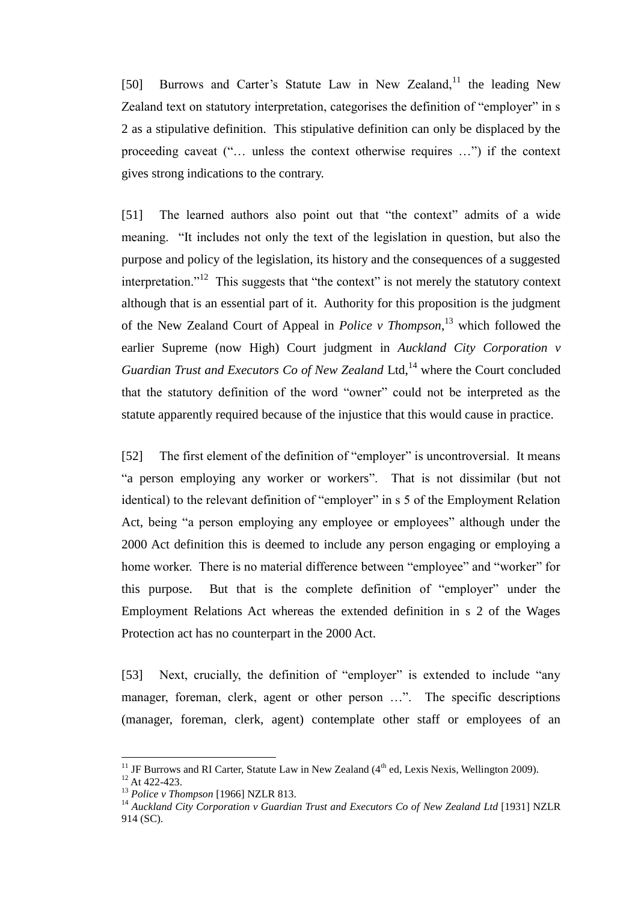[50] Burrows and Carter's Statute Law in New Zealand,<sup>11</sup> the leading New Zealand text on statutory interpretation, categorises the definition of "employer" in s 2 as a stipulative definition. This stipulative definition can only be displaced by the proceeding caveat ("… unless the context otherwise requires …") if the context gives strong indications to the contrary.

[51] The learned authors also point out that "the context" admits of a wide meaning. "It includes not only the text of the legislation in question, but also the purpose and policy of the legislation, its history and the consequences of a suggested interpretation."<sup>12</sup> This suggests that "the context" is not merely the statutory context although that is an essential part of it. Authority for this proposition is the judgment of the New Zealand Court of Appeal in *Police v Thompson*, <sup>13</sup> which followed the earlier Supreme (now High) Court judgment in *Auckland City Corporation v*  Guardian Trust and Executors Co of New Zealand Ltd,<sup>14</sup> where the Court concluded that the statutory definition of the word "owner" could not be interpreted as the statute apparently required because of the injustice that this would cause in practice.

[52] The first element of the definition of "employer" is uncontroversial. It means "a person employing any worker or workers". That is not dissimilar (but not identical) to the relevant definition of "employer" in s 5 of the Employment Relation Act, being "a person employing any employee or employees" although under the 2000 Act definition this is deemed to include any person engaging or employing a home worker. There is no material difference between "employee" and "worker" for this purpose. But that is the complete definition of "employer" under the Employment Relations Act whereas the extended definition in s 2 of the Wages Protection act has no counterpart in the 2000 Act.

[53] Next, crucially, the definition of "employer" is extended to include "any manager, foreman, clerk, agent or other person …". The specific descriptions (manager, foreman, clerk, agent) contemplate other staff or employees of an

<sup>&</sup>lt;sup>11</sup> JF Burrows and RI Carter, Statute Law in New Zealand  $(4<sup>th</sup>$  ed, Lexis Nexis, Wellington 2009).

<sup>12</sup> At 422-423.

<sup>13</sup> *Police v Thompson* [1966] NZLR 813.

<sup>14</sup> *Auckland City Corporation v Guardian Trust and Executors Co of New Zealand Ltd* [1931] NZLR 914 (SC).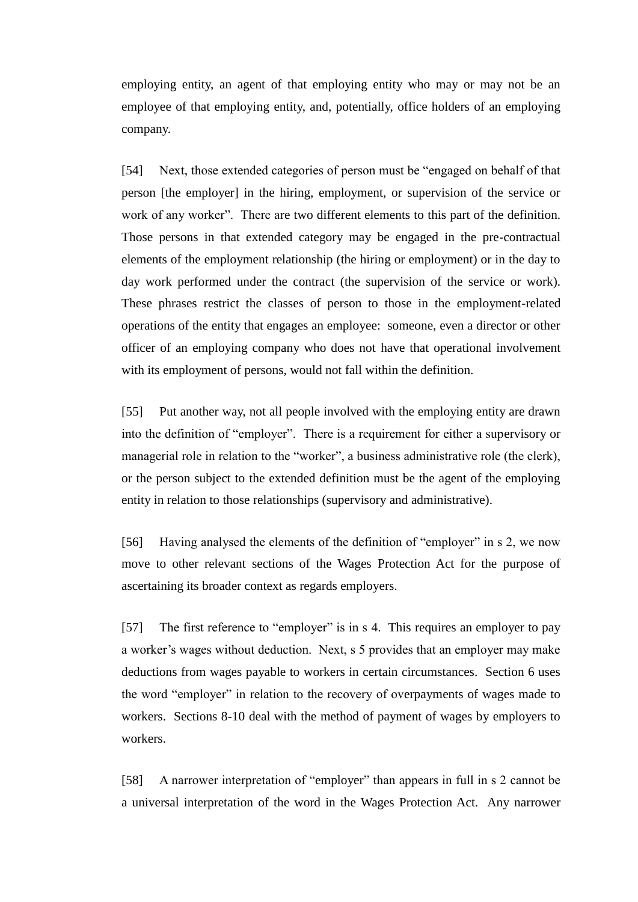employing entity, an agent of that employing entity who may or may not be an employee of that employing entity, and, potentially, office holders of an employing company.

[54] Next, those extended categories of person must be "engaged on behalf of that person [the employer] in the hiring, employment, or supervision of the service or work of any worker". There are two different elements to this part of the definition. Those persons in that extended category may be engaged in the pre-contractual elements of the employment relationship (the hiring or employment) or in the day to day work performed under the contract (the supervision of the service or work). These phrases restrict the classes of person to those in the employment-related operations of the entity that engages an employee: someone, even a director or other officer of an employing company who does not have that operational involvement with its employment of persons, would not fall within the definition.

[55] Put another way, not all people involved with the employing entity are drawn into the definition of "employer". There is a requirement for either a supervisory or managerial role in relation to the "worker", a business administrative role (the clerk), or the person subject to the extended definition must be the agent of the employing entity in relation to those relationships (supervisory and administrative).

[56] Having analysed the elements of the definition of "employer" in s 2, we now move to other relevant sections of the Wages Protection Act for the purpose of ascertaining its broader context as regards employers.

[57] The first reference to "employer" is in s 4. This requires an employer to pay a worker's wages without deduction. Next, s 5 provides that an employer may make deductions from wages payable to workers in certain circumstances. Section 6 uses the word "employer" in relation to the recovery of overpayments of wages made to workers. Sections 8-10 deal with the method of payment of wages by employers to workers.

[58] A narrower interpretation of "employer" than appears in full in s 2 cannot be a universal interpretation of the word in the Wages Protection Act. Any narrower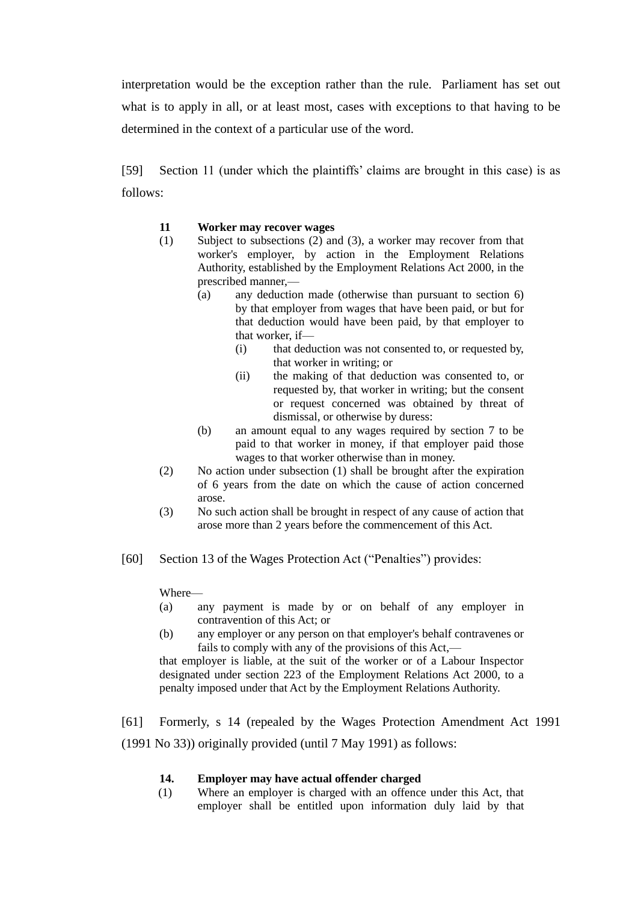interpretation would be the exception rather than the rule. Parliament has set out what is to apply in all, or at least most, cases with exceptions to that having to be determined in the context of a particular use of the word.

[59] Section 11 (under which the plaintiffs' claims are brought in this case) is as follows:

### **11 Worker may recover wages**

- (1) Subject to subsections (2) and (3), a worker may recover from that worker's employer, by action in the Employment Relations Authority, established by the Employment Relations Act 2000, in the prescribed manner,—
	- (a) any deduction made (otherwise than pursuant to section 6) by that employer from wages that have been paid, or but for that deduction would have been paid, by that employer to that worker, if—
		- (i) that deduction was not consented to, or requested by, that worker in writing; or
		- (ii) the making of that deduction was consented to, or requested by, that worker in writing; but the consent or request concerned was obtained by threat of dismissal, or otherwise by duress:
	- (b) an amount equal to any wages required by section 7 to be paid to that worker in money, if that employer paid those wages to that worker otherwise than in money.
- (2) No action under subsection (1) shall be brought after the expiration of 6 years from the date on which the cause of action concerned arose.
- (3) No such action shall be brought in respect of any cause of action that arose more than 2 years before the commencement of this Act.
- [60] Section 13 of the Wages Protection Act ("Penalties") provides:

Where—

- (a) any payment is made by or on behalf of any employer in contravention of this Act; or
- (b) any employer or any person on that employer's behalf contravenes or fails to comply with any of the provisions of this Act,—

that employer is liable, at the suit of the worker or of a Labour Inspector designated under section 223 of the Employment Relations Act 2000, to a penalty imposed under that Act by the Employment Relations Authority.

[61] Formerly, s 14 (repealed by the Wages Protection Amendment Act 1991 (1991 No 33)) originally provided (until 7 May 1991) as follows:

### **14. Employer may have actual offender charged**

(1) Where an employer is charged with an offence under this Act, that employer shall be entitled upon information duly laid by that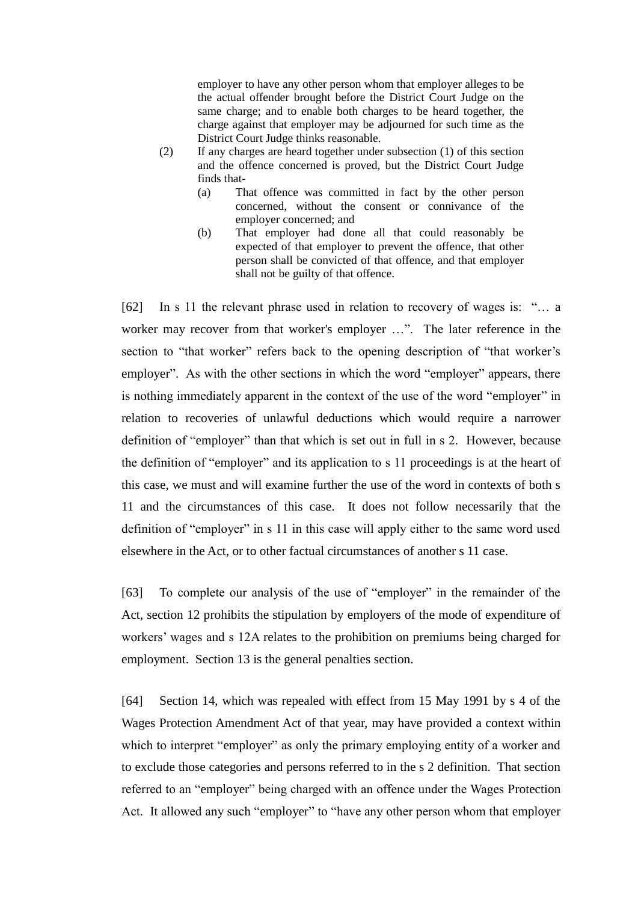employer to have any other person whom that employer alleges to be the actual offender brought before the District Court Judge on the same charge; and to enable both charges to be heard together, the charge against that employer may be adjourned for such time as the District Court Judge thinks reasonable.

- (2) If any charges are heard together under subsection (1) of this section and the offence concerned is proved, but the District Court Judge finds that-
	- (a) That offence was committed in fact by the other person concerned, without the consent or connivance of the employer concerned; and
	- (b) That employer had done all that could reasonably be expected of that employer to prevent the offence, that other person shall be convicted of that offence, and that employer shall not be guilty of that offence.

[62] In s 11 the relevant phrase used in relation to recovery of wages is: "… a worker may recover from that worker's employer …". The later reference in the section to "that worker" refers back to the opening description of "that worker's employer". As with the other sections in which the word "employer" appears, there is nothing immediately apparent in the context of the use of the word "employer" in relation to recoveries of unlawful deductions which would require a narrower definition of "employer" than that which is set out in full in s 2. However, because the definition of "employer" and its application to s 11 proceedings is at the heart of this case, we must and will examine further the use of the word in contexts of both s 11 and the circumstances of this case. It does not follow necessarily that the definition of "employer" in s 11 in this case will apply either to the same word used elsewhere in the Act, or to other factual circumstances of another s 11 case.

[63] To complete our analysis of the use of "employer" in the remainder of the Act, section 12 prohibits the stipulation by employers of the mode of expenditure of workers' wages and s 12A relates to the prohibition on premiums being charged for employment. Section 13 is the general penalties section.

[64] Section 14, which was repealed with effect from 15 May 1991 by s 4 of the Wages Protection Amendment Act of that year, may have provided a context within which to interpret "employer" as only the primary employing entity of a worker and to exclude those categories and persons referred to in the s 2 definition. That section referred to an "employer" being charged with an offence under the Wages Protection Act. It allowed any such "employer" to "have any other person whom that employer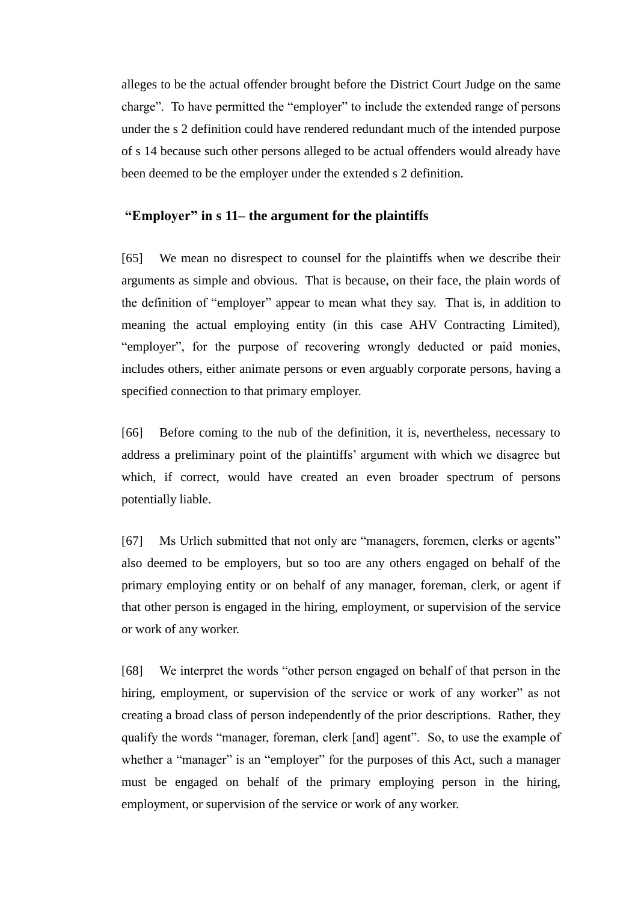alleges to be the actual offender brought before the District Court Judge on the same charge". To have permitted the "employer" to include the extended range of persons under the s 2 definition could have rendered redundant much of the intended purpose of s 14 because such other persons alleged to be actual offenders would already have been deemed to be the employer under the extended s 2 definition.

## **"Employer" in s 11– the argument for the plaintiffs**

[65] We mean no disrespect to counsel for the plaintiffs when we describe their arguments as simple and obvious. That is because, on their face, the plain words of the definition of "employer" appear to mean what they say. That is, in addition to meaning the actual employing entity (in this case AHV Contracting Limited), "employer", for the purpose of recovering wrongly deducted or paid monies, includes others, either animate persons or even arguably corporate persons, having a specified connection to that primary employer.

[66] Before coming to the nub of the definition, it is, nevertheless, necessary to address a preliminary point of the plaintiffs' argument with which we disagree but which, if correct, would have created an even broader spectrum of persons potentially liable.

[67] Ms Urlich submitted that not only are "managers, foremen, clerks or agents" also deemed to be employers, but so too are any others engaged on behalf of the primary employing entity or on behalf of any manager, foreman, clerk, or agent if that other person is engaged in the hiring, employment, or supervision of the service or work of any worker.

[68] We interpret the words "other person engaged on behalf of that person in the hiring, employment, or supervision of the service or work of any worker" as not creating a broad class of person independently of the prior descriptions. Rather, they qualify the words "manager, foreman, clerk [and] agent". So, to use the example of whether a "manager" is an "employer" for the purposes of this Act, such a manager must be engaged on behalf of the primary employing person in the hiring, employment, or supervision of the service or work of any worker.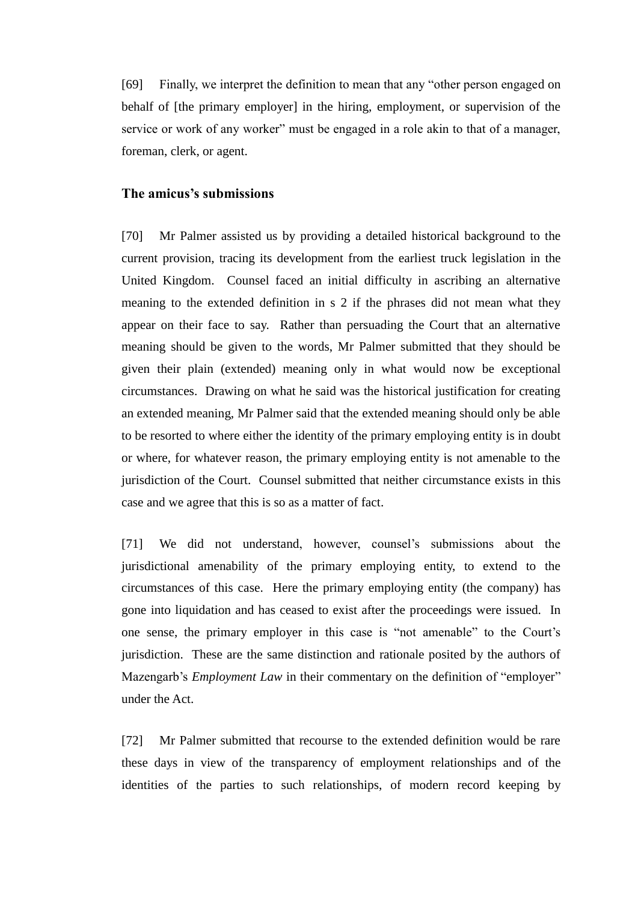[69] Finally, we interpret the definition to mean that any "other person engaged on behalf of [the primary employer] in the hiring, employment, or supervision of the service or work of any worker" must be engaged in a role akin to that of a manager, foreman, clerk, or agent.

### **The amicus's submissions**

[70] Mr Palmer assisted us by providing a detailed historical background to the current provision, tracing its development from the earliest truck legislation in the United Kingdom. Counsel faced an initial difficulty in ascribing an alternative meaning to the extended definition in s 2 if the phrases did not mean what they appear on their face to say. Rather than persuading the Court that an alternative meaning should be given to the words, Mr Palmer submitted that they should be given their plain (extended) meaning only in what would now be exceptional circumstances. Drawing on what he said was the historical justification for creating an extended meaning, Mr Palmer said that the extended meaning should only be able to be resorted to where either the identity of the primary employing entity is in doubt or where, for whatever reason, the primary employing entity is not amenable to the jurisdiction of the Court. Counsel submitted that neither circumstance exists in this case and we agree that this is so as a matter of fact.

[71] We did not understand, however, counsel's submissions about the jurisdictional amenability of the primary employing entity, to extend to the circumstances of this case. Here the primary employing entity (the company) has gone into liquidation and has ceased to exist after the proceedings were issued. In one sense, the primary employer in this case is "not amenable" to the Court's jurisdiction. These are the same distinction and rationale posited by the authors of Mazengarb's *Employment Law* in their commentary on the definition of "employer" under the Act.

[72] Mr Palmer submitted that recourse to the extended definition would be rare these days in view of the transparency of employment relationships and of the identities of the parties to such relationships, of modern record keeping by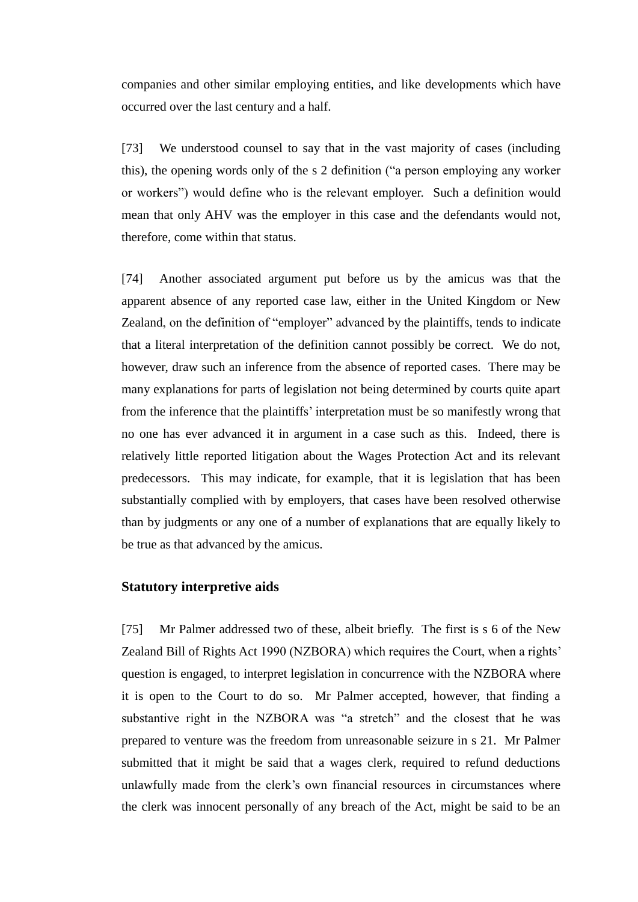companies and other similar employing entities, and like developments which have occurred over the last century and a half.

[73] We understood counsel to say that in the vast majority of cases (including this), the opening words only of the s 2 definition ("a person employing any worker or workers") would define who is the relevant employer. Such a definition would mean that only AHV was the employer in this case and the defendants would not, therefore, come within that status.

[74] Another associated argument put before us by the amicus was that the apparent absence of any reported case law, either in the United Kingdom or New Zealand, on the definition of "employer" advanced by the plaintiffs, tends to indicate that a literal interpretation of the definition cannot possibly be correct. We do not, however, draw such an inference from the absence of reported cases. There may be many explanations for parts of legislation not being determined by courts quite apart from the inference that the plaintiffs' interpretation must be so manifestly wrong that no one has ever advanced it in argument in a case such as this. Indeed, there is relatively little reported litigation about the Wages Protection Act and its relevant predecessors. This may indicate, for example, that it is legislation that has been substantially complied with by employers, that cases have been resolved otherwise than by judgments or any one of a number of explanations that are equally likely to be true as that advanced by the amicus.

## **Statutory interpretive aids**

[75] Mr Palmer addressed two of these, albeit briefly. The first is s 6 of the New Zealand Bill of Rights Act 1990 (NZBORA) which requires the Court, when a rights' question is engaged, to interpret legislation in concurrence with the NZBORA where it is open to the Court to do so. Mr Palmer accepted, however, that finding a substantive right in the NZBORA was "a stretch" and the closest that he was prepared to venture was the freedom from unreasonable seizure in s 21. Mr Palmer submitted that it might be said that a wages clerk, required to refund deductions unlawfully made from the clerk's own financial resources in circumstances where the clerk was innocent personally of any breach of the Act, might be said to be an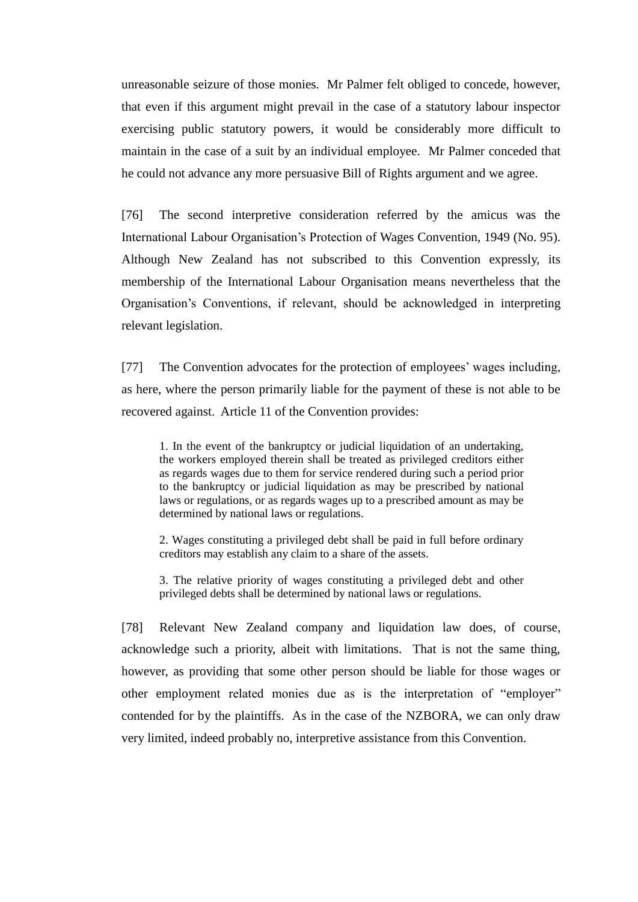unreasonable seizure of those monies. Mr Palmer felt obliged to concede, however, that even if this argument might prevail in the case of a statutory labour inspector exercising public statutory powers, it would be considerably more difficult to maintain in the case of a suit by an individual employee. Mr Palmer conceded that he could not advance any more persuasive Bill of Rights argument and we agree.

[76] The second interpretive consideration referred by the amicus was the International Labour Organisation's Protection of Wages Convention, 1949 (No. 95). Although New Zealand has not subscribed to this Convention expressly, its membership of the International Labour Organisation means nevertheless that the Organisation's Conventions, if relevant, should be acknowledged in interpreting relevant legislation.

[77] The Convention advocates for the protection of employees' wages including, as here, where the person primarily liable for the payment of these is not able to be recovered against. Article 11 of the Convention provides:

1. In the event of the bankruptcy or judicial liquidation of an undertaking, the workers employed therein shall be treated as privileged creditors either as regards wages due to them for service rendered during such a period prior to the bankruptcy or judicial liquidation as may be prescribed by national laws or regulations, or as regards wages up to a prescribed amount as may be determined by national laws or regulations.

2. Wages constituting a privileged debt shall be paid in full before ordinary creditors may establish any claim to a share of the assets.

3. The relative priority of wages constituting a privileged debt and other privileged debts shall be determined by national laws or regulations.

[78] Relevant New Zealand company and liquidation law does, of course, acknowledge such a priority, albeit with limitations. That is not the same thing, however, as providing that some other person should be liable for those wages or other employment related monies due as is the interpretation of "employer" contended for by the plaintiffs. As in the case of the NZBORA, we can only draw very limited, indeed probably no, interpretive assistance from this Convention.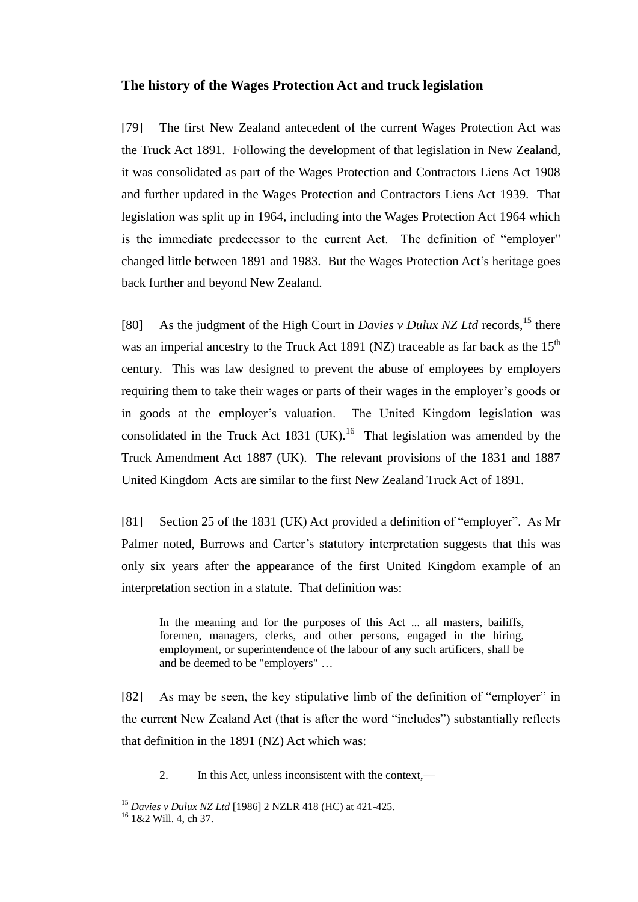## **The history of the Wages Protection Act and truck legislation**

[79] The first New Zealand antecedent of the current Wages Protection Act was the Truck Act 1891. Following the development of that legislation in New Zealand, it was consolidated as part of the Wages Protection and Contractors Liens Act 1908 and further updated in the Wages Protection and Contractors Liens Act 1939. That legislation was split up in 1964, including into the Wages Protection Act 1964 which is the immediate predecessor to the current Act. The definition of "employer" changed little between 1891 and 1983. But the Wages Protection Act's heritage goes back further and beyond New Zealand.

[80] As the judgment of the High Court in *Davies v Dulux NZ Ltd* records,<sup>15</sup> there was an imperial ancestry to the Truck Act 1891 (NZ) traceable as far back as the  $15<sup>th</sup>$ century. This was law designed to prevent the abuse of employees by employers requiring them to take their wages or parts of their wages in the employer's goods or in goods at the employer's valuation. The United Kingdom legislation was consolidated in the Truck Act 1831 (UK).<sup>16</sup> That legislation was amended by the Truck Amendment Act 1887 (UK). The relevant provisions of the 1831 and 1887 United Kingdom Acts are similar to the first New Zealand Truck Act of 1891.

[81] Section 25 of the 1831 (UK) Act provided a definition of "employer". As Mr Palmer noted, Burrows and Carter's statutory interpretation suggests that this was only six years after the appearance of the first United Kingdom example of an interpretation section in a statute. That definition was:

In the meaning and for the purposes of this Act ... all masters, bailiffs, foremen, managers, clerks, and other persons, engaged in the hiring, employment, or superintendence of the labour of any such artificers, shall be and be deemed to be "employers" …

[82] As may be seen, the key stipulative limb of the definition of "employer" in the current New Zealand Act (that is after the word "includes") substantially reflects that definition in the 1891 (NZ) Act which was:

2. In this Act, unless inconsistent with the context,—

<sup>15</sup> *Davies v Dulux NZ Ltd* [1986] 2 NZLR 418 (HC) at 421-425.

<sup>16</sup> 1&2 Will. 4, ch 37.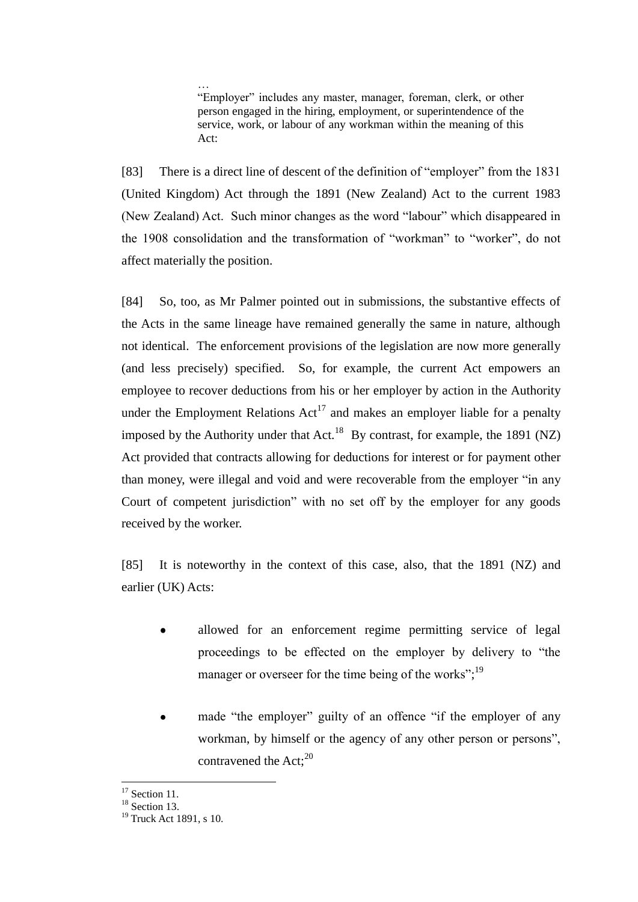… "Employer" includes any master, manager, foreman, clerk, or other person engaged in the hiring, employment, or superintendence of the service, work, or labour of any workman within the meaning of this Act:

[83] There is a direct line of descent of the definition of "employer" from the 1831 (United Kingdom) Act through the 1891 (New Zealand) Act to the current 1983 (New Zealand) Act. Such minor changes as the word "labour" which disappeared in the 1908 consolidation and the transformation of "workman" to "worker", do not affect materially the position.

[84] So, too, as Mr Palmer pointed out in submissions, the substantive effects of the Acts in the same lineage have remained generally the same in nature, although not identical. The enforcement provisions of the legislation are now more generally (and less precisely) specified. So, for example, the current Act empowers an employee to recover deductions from his or her employer by action in the Authority under the Employment Relations  $Act^{17}$  and makes an employer liable for a penalty imposed by the Authority under that Act.<sup>18</sup> By contrast, for example, the 1891 (NZ) Act provided that contracts allowing for deductions for interest or for payment other than money, were illegal and void and were recoverable from the employer "in any Court of competent jurisdiction" with no set off by the employer for any goods received by the worker.

[85] It is noteworthy in the context of this case, also, that the 1891 (NZ) and earlier (UK) Acts:

- allowed for an enforcement regime permitting service of legal proceedings to be effected on the employer by delivery to "the manager or overseer for the time being of the works"; $^{19}$
- made "the employer" guilty of an offence "if the employer of any  $\bullet$ workman, by himself or the agency of any other person or persons", contravened the Act;<sup>20</sup>

 $\overline{a}$  $17$  Section 11.

<sup>&</sup>lt;sup>18</sup> Section 13.

<sup>&</sup>lt;sup>19</sup> Truck Act 1891, s 10.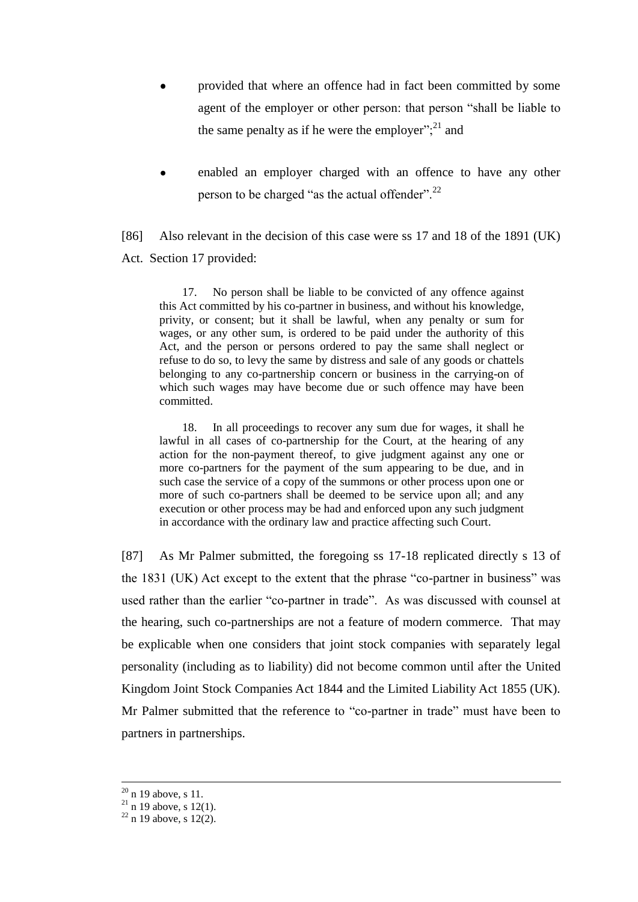- provided that where an offence had in fact been committed by some agent of the employer or other person: that person "shall be liable to the same penalty as if he were the employer"; $^{21}$  and
- enabled an employer charged with an offence to have any other person to be charged "as the actual offender".<sup>22</sup>

[86] Also relevant in the decision of this case were ss 17 and 18 of the 1891 (UK) Act. Section 17 provided:

17. No person shall be liable to be convicted of any offence against this Act committed by his co-partner in business, and without his knowledge, privity, or consent; but it shall be lawful, when any penalty or sum for wages, or any other sum, is ordered to be paid under the authority of this Act, and the person or persons ordered to pay the same shall neglect or refuse to do so, to levy the same by distress and sale of any goods or chattels belonging to any co-partnership concern or business in the carrying-on of which such wages may have become due or such offence may have been committed.

18. In all proceedings to recover any sum due for wages, it shall he lawful in all cases of co-partnership for the Court, at the hearing of any action for the non-payment thereof, to give judgment against any one or more co-partners for the payment of the sum appearing to be due, and in such case the service of a copy of the summons or other process upon one or more of such co-partners shall be deemed to be service upon all; and any execution or other process may be had and enforced upon any such judgment in accordance with the ordinary law and practice affecting such Court.

[87] As Mr Palmer submitted, the foregoing ss 17-18 replicated directly s 13 of the 1831 (UK) Act except to the extent that the phrase "co-partner in business" was used rather than the earlier "co-partner in trade". As was discussed with counsel at the hearing, such co-partnerships are not a feature of modern commerce. That may be explicable when one considers that joint stock companies with separately legal personality (including as to liability) did not become common until after the United Kingdom Joint Stock Companies Act 1844 and the Limited Liability Act 1855 (UK). Mr Palmer submitted that the reference to "co-partner in trade" must have been to partners in partnerships.

 $20$  n 19 above, s 11.

 $21$  n 19 above, s 12(1).

 $22$  n 19 above, s 12(2).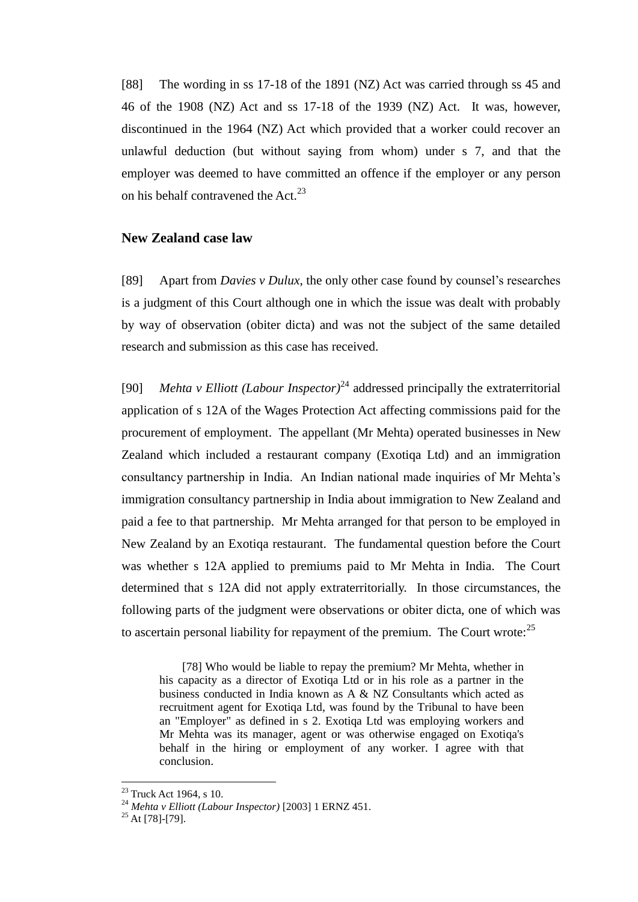[88] The wording in ss 17-18 of the 1891 (NZ) Act was carried through ss 45 and 46 of the 1908 (NZ) Act and ss 17-18 of the 1939 (NZ) Act. It was, however, discontinued in the 1964 (NZ) Act which provided that a worker could recover an unlawful deduction (but without saying from whom) under s 7, and that the employer was deemed to have committed an offence if the employer or any person on his behalf contravened the Act.<sup>23</sup>

### **New Zealand case law**

[89] Apart from *Davies v Dulux*, the only other case found by counsel's researches is a judgment of this Court although one in which the issue was dealt with probably by way of observation (obiter dicta) and was not the subject of the same detailed research and submission as this case has received.

[90] *Mehta v Elliott (Labour Inspector)*<sup>24</sup> addressed principally the extraterritorial application of s 12A of the Wages Protection Act affecting commissions paid for the procurement of employment. The appellant (Mr Mehta) operated businesses in New Zealand which included a restaurant company (Exotiqa Ltd) and an immigration consultancy partnership in India. An Indian national made inquiries of Mr Mehta's immigration consultancy partnership in India about immigration to New Zealand and paid a fee to that partnership. Mr Mehta arranged for that person to be employed in New Zealand by an Exotiqa restaurant. The fundamental question before the Court was whether s 12A applied to premiums paid to Mr Mehta in India. The Court determined that s 12A did not apply extraterritorially. In those circumstances, the following parts of the judgment were observations or obiter dicta, one of which was to ascertain personal liability for repayment of the premium. The Court wrote:<sup>25</sup>

[78] Who would be liable to repay the premium? Mr Mehta, whether in his capacity as a director of Exotiqa Ltd or in his role as a partner in the business conducted in India known as A & NZ Consultants which acted as recruitment agent for Exotiqa Ltd, was found by the Tribunal to have been an "Employer" as defined in s 2. Exotiqa Ltd was employing workers and Mr Mehta was its manager, agent or was otherwise engaged on Exotiqa's behalf in the hiring or employment of any worker. I agree with that conclusion.

 $23$  Truck Act 1964, s 10.

<sup>24</sup> *Mehta v Elliott (Labour Inspector)* [2003] 1 ERNZ 451.

 $25$  At [78]-[79].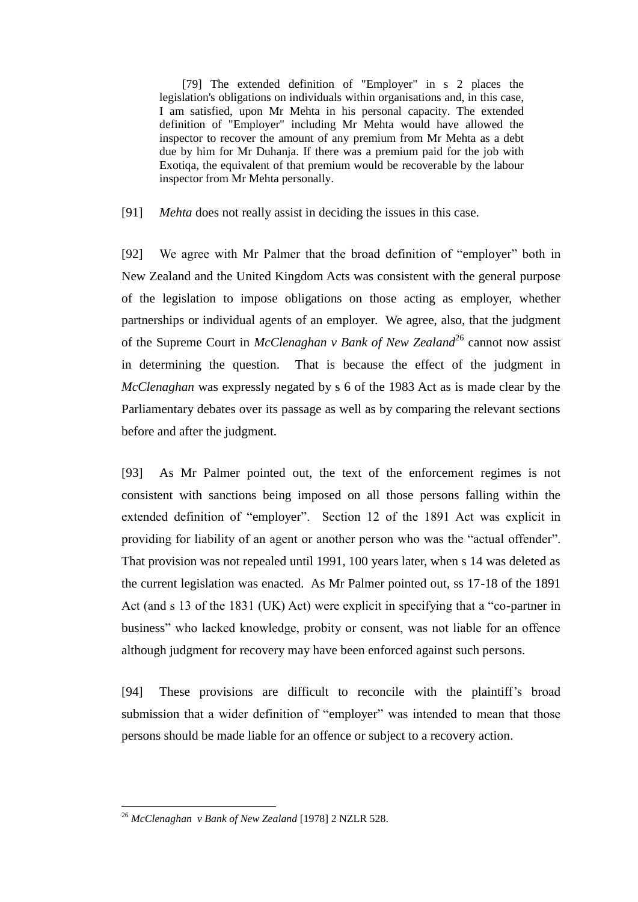[79] The extended definition of "Employer" in s 2 places the legislation's obligations on individuals within organisations and, in this case, I am satisfied, upon Mr Mehta in his personal capacity. The extended definition of "Employer" including Mr Mehta would have allowed the inspector to recover the amount of any premium from Mr Mehta as a debt due by him for Mr Duhanja. If there was a premium paid for the job with Exotiqa, the equivalent of that premium would be recoverable by the labour inspector from Mr Mehta personally.

[91] *Mehta* does not really assist in deciding the issues in this case.

[92] We agree with Mr Palmer that the broad definition of "employer" both in New Zealand and the United Kingdom Acts was consistent with the general purpose of the legislation to impose obligations on those acting as employer, whether partnerships or individual agents of an employer. We agree, also, that the judgment of the Supreme Court in *McClenaghan v Bank of New Zealand*<sup>26</sup> cannot now assist in determining the question. That is because the effect of the judgment in *McClenaghan* was expressly negated by s 6 of the 1983 Act as is made clear by the Parliamentary debates over its passage as well as by comparing the relevant sections before and after the judgment.

[93] As Mr Palmer pointed out, the text of the enforcement regimes is not consistent with sanctions being imposed on all those persons falling within the extended definition of "employer". Section 12 of the 1891 Act was explicit in providing for liability of an agent or another person who was the "actual offender". That provision was not repealed until 1991, 100 years later, when s 14 was deleted as the current legislation was enacted. As Mr Palmer pointed out, ss 17-18 of the 1891 Act (and s 13 of the 1831 (UK) Act) were explicit in specifying that a "co-partner in business" who lacked knowledge, probity or consent, was not liable for an offence although judgment for recovery may have been enforced against such persons.

[94] These provisions are difficult to reconcile with the plaintiff's broad submission that a wider definition of "employer" was intended to mean that those persons should be made liable for an offence or subject to a recovery action.

<sup>26</sup> *McClenaghan v Bank of New Zealand* [1978] 2 NZLR 528.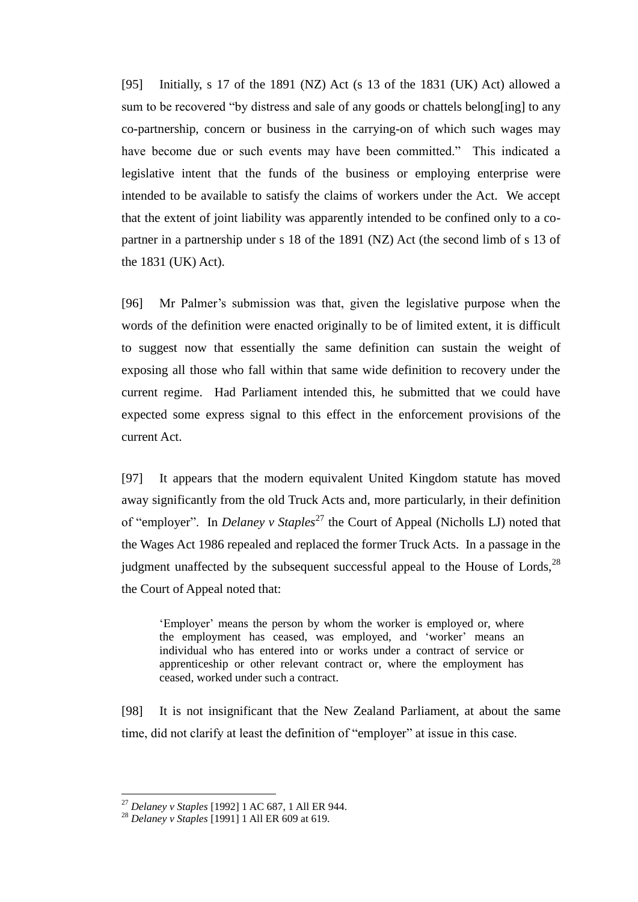[95] Initially, s 17 of the 1891 (NZ) Act (s 13 of the 1831 (UK) Act) allowed a sum to be recovered "by distress and sale of any goods or chattels belong[ing] to any co-partnership, concern or business in the carrying-on of which such wages may have become due or such events may have been committed." This indicated a legislative intent that the funds of the business or employing enterprise were intended to be available to satisfy the claims of workers under the Act. We accept that the extent of joint liability was apparently intended to be confined only to a copartner in a partnership under s 18 of the 1891 (NZ) Act (the second limb of s 13 of the 1831 (UK) Act).

[96] Mr Palmer's submission was that, given the legislative purpose when the words of the definition were enacted originally to be of limited extent, it is difficult to suggest now that essentially the same definition can sustain the weight of exposing all those who fall within that same wide definition to recovery under the current regime. Had Parliament intended this, he submitted that we could have expected some express signal to this effect in the enforcement provisions of the current Act.

[97] It appears that the modern equivalent United Kingdom statute has moved away significantly from the old Truck Acts and, more particularly, in their definition of "employer". In *Delaney v Staples*<sup>27</sup> the Court of Appeal (Nicholls LJ) noted that the Wages Act 1986 repealed and replaced the former Truck Acts. In a passage in the judgment unaffected by the subsequent successful appeal to the House of Lords, $^{28}$ the Court of Appeal noted that:

'Employer' means the person by whom the worker is employed or, where the employment has ceased, was employed, and 'worker' means an individual who has entered into or works under a contract of service or apprenticeship or other relevant contract or, where the employment has ceased, worked under such a contract.

[98] It is not insignificant that the New Zealand Parliament, at about the same time, did not clarify at least the definition of "employer" at issue in this case.

<sup>27</sup> *Delaney v Staples* [1992] 1 AC 687, 1 All ER 944.

<sup>28</sup> *Delaney v Staples* [1991] 1 All ER 609 at 619.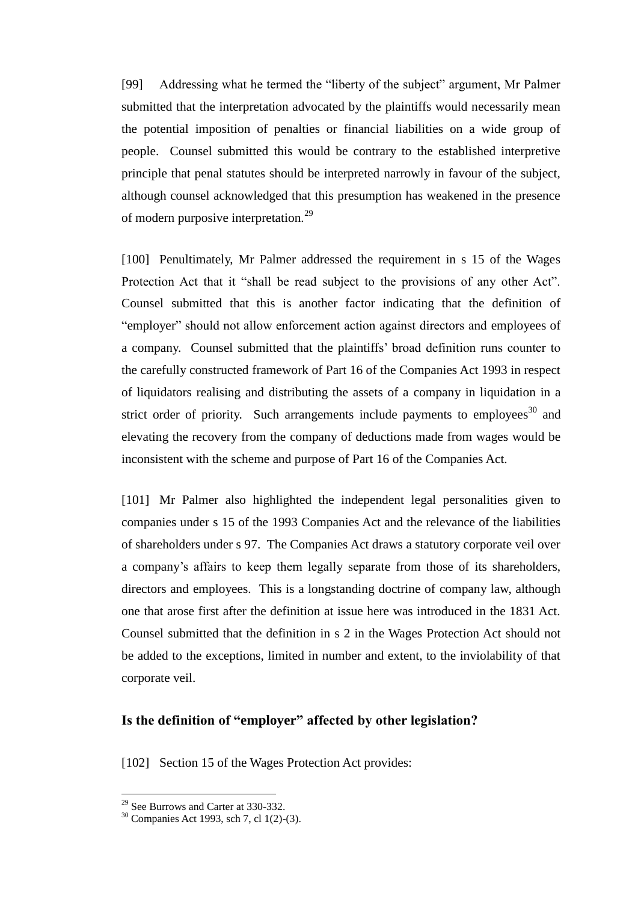[99] Addressing what he termed the "liberty of the subject" argument, Mr Palmer submitted that the interpretation advocated by the plaintiffs would necessarily mean the potential imposition of penalties or financial liabilities on a wide group of people. Counsel submitted this would be contrary to the established interpretive principle that penal statutes should be interpreted narrowly in favour of the subject, although counsel acknowledged that this presumption has weakened in the presence of modern purposive interpretation.<sup>29</sup>

[100] Penultimately, Mr Palmer addressed the requirement in s 15 of the Wages Protection Act that it "shall be read subject to the provisions of any other Act". Counsel submitted that this is another factor indicating that the definition of "employer" should not allow enforcement action against directors and employees of a company. Counsel submitted that the plaintiffs' broad definition runs counter to the carefully constructed framework of Part 16 of the Companies Act 1993 in respect of liquidators realising and distributing the assets of a company in liquidation in a strict order of priority. Such arrangements include payments to employees<sup>30</sup> and elevating the recovery from the company of deductions made from wages would be inconsistent with the scheme and purpose of Part 16 of the Companies Act.

[101] Mr Palmer also highlighted the independent legal personalities given to companies under s 15 of the 1993 Companies Act and the relevance of the liabilities of shareholders under s 97. The Companies Act draws a statutory corporate veil over a company's affairs to keep them legally separate from those of its shareholders, directors and employees. This is a longstanding doctrine of company law, although one that arose first after the definition at issue here was introduced in the 1831 Act. Counsel submitted that the definition in s 2 in the Wages Protection Act should not be added to the exceptions, limited in number and extent, to the inviolability of that corporate veil.

## **Is the definition of "employer" affected by other legislation?**

[102] Section 15 of the Wages Protection Act provides:

<sup>&</sup>lt;sup>29</sup> See Burrows and Carter at 330-332.

<sup>30</sup> Companies Act 1993, sch 7, cl 1(2)-(3).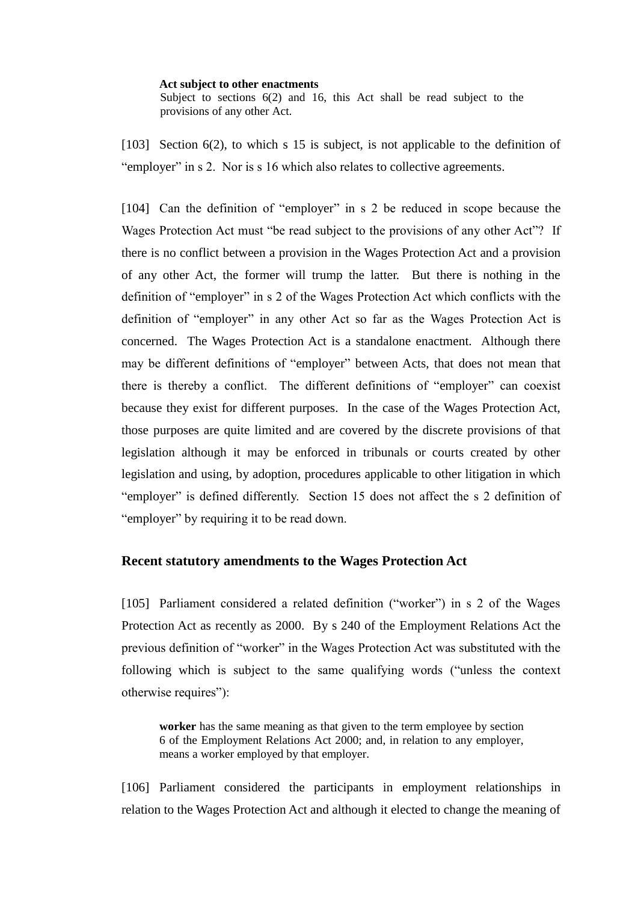#### **Act subject to other enactments** Subject to sections  $6(2)$  and 16, this Act shall be read subject to the provisions of any other Act.

[103] Section 6(2), to which s 15 is subject, is not applicable to the definition of "employer" in s 2. Nor is s 16 which also relates to collective agreements.

[104] Can the definition of "employer" in s 2 be reduced in scope because the Wages Protection Act must "be read subject to the provisions of any other Act"? If there is no conflict between a provision in the Wages Protection Act and a provision of any other Act, the former will trump the latter. But there is nothing in the definition of "employer" in s 2 of the Wages Protection Act which conflicts with the definition of "employer" in any other Act so far as the Wages Protection Act is concerned. The Wages Protection Act is a standalone enactment. Although there may be different definitions of "employer" between Acts, that does not mean that there is thereby a conflict. The different definitions of "employer" can coexist because they exist for different purposes. In the case of the Wages Protection Act, those purposes are quite limited and are covered by the discrete provisions of that legislation although it may be enforced in tribunals or courts created by other legislation and using, by adoption, procedures applicable to other litigation in which "employer" is defined differently. Section 15 does not affect the s 2 definition of "employer" by requiring it to be read down.

# **Recent statutory amendments to the Wages Protection Act**

[105] Parliament considered a related definition ("worker") in s 2 of the Wages Protection Act as recently as 2000. By s 240 of the Employment Relations Act the previous definition of "worker" in the Wages Protection Act was substituted with the following which is subject to the same qualifying words ("unless the context otherwise requires"):

**worker** has the same meaning as that given to the term employee by section 6 of the Employment Relations Act 2000; and, in relation to any employer, means a worker employed by that employer.

[106] Parliament considered the participants in employment relationships in relation to the Wages Protection Act and although it elected to change the meaning of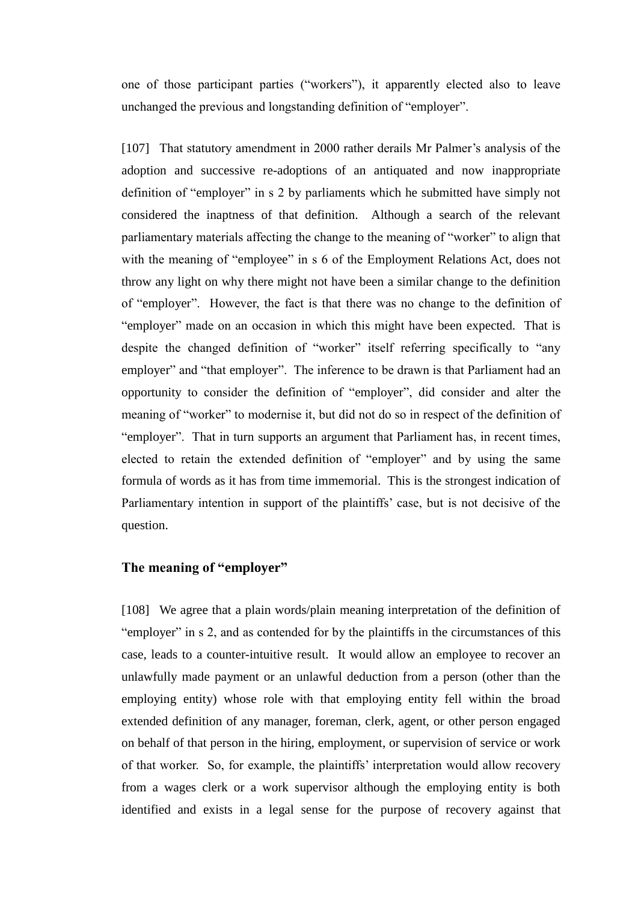one of those participant parties ("workers"), it apparently elected also to leave unchanged the previous and longstanding definition of "employer".

[107] That statutory amendment in 2000 rather derails Mr Palmer's analysis of the adoption and successive re-adoptions of an antiquated and now inappropriate definition of "employer" in s 2 by parliaments which he submitted have simply not considered the inaptness of that definition. Although a search of the relevant parliamentary materials affecting the change to the meaning of "worker" to align that with the meaning of "employee" in s 6 of the Employment Relations Act, does not throw any light on why there might not have been a similar change to the definition of "employer". However, the fact is that there was no change to the definition of "employer" made on an occasion in which this might have been expected. That is despite the changed definition of "worker" itself referring specifically to "any employer" and "that employer". The inference to be drawn is that Parliament had an opportunity to consider the definition of "employer", did consider and alter the meaning of "worker" to modernise it, but did not do so in respect of the definition of "employer". That in turn supports an argument that Parliament has, in recent times, elected to retain the extended definition of "employer" and by using the same formula of words as it has from time immemorial. This is the strongest indication of Parliamentary intention in support of the plaintiffs' case, but is not decisive of the question.

## **The meaning of "employer"**

[108] We agree that a plain words/plain meaning interpretation of the definition of "employer" in s 2, and as contended for by the plaintiffs in the circumstances of this case, leads to a counter-intuitive result. It would allow an employee to recover an unlawfully made payment or an unlawful deduction from a person (other than the employing entity) whose role with that employing entity fell within the broad extended definition of any manager, foreman, clerk, agent, or other person engaged on behalf of that person in the hiring, employment, or supervision of service or work of that worker. So, for example, the plaintiffs' interpretation would allow recovery from a wages clerk or a work supervisor although the employing entity is both identified and exists in a legal sense for the purpose of recovery against that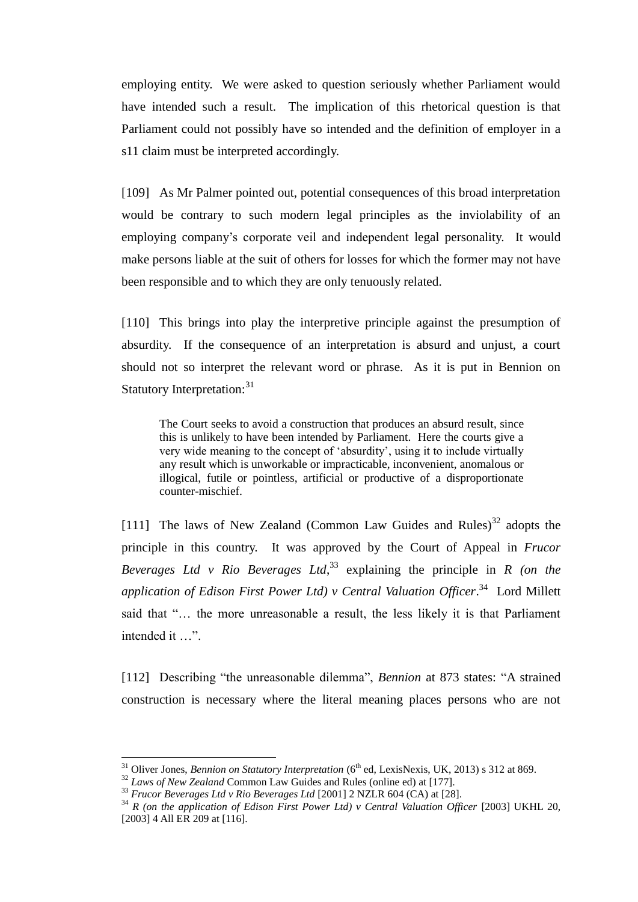employing entity. We were asked to question seriously whether Parliament would have intended such a result. The implication of this rhetorical question is that Parliament could not possibly have so intended and the definition of employer in a s11 claim must be interpreted accordingly.

[109] As Mr Palmer pointed out, potential consequences of this broad interpretation would be contrary to such modern legal principles as the inviolability of an employing company's corporate veil and independent legal personality. It would make persons liable at the suit of others for losses for which the former may not have been responsible and to which they are only tenuously related.

[110] This brings into play the interpretive principle against the presumption of absurdity. If the consequence of an interpretation is absurd and unjust, a court should not so interpret the relevant word or phrase. As it is put in Bennion on Statutory Interpretation:<sup>31</sup>

The Court seeks to avoid a construction that produces an absurd result, since this is unlikely to have been intended by Parliament. Here the courts give a very wide meaning to the concept of 'absurdity', using it to include virtually any result which is unworkable or impracticable, inconvenient, anomalous or illogical, futile or pointless, artificial or productive of a disproportionate counter-mischief.

[111] The laws of New Zealand (Common Law Guides and Rules)<sup>32</sup> adopts the principle in this country. It was approved by the Court of Appeal in *Frucor Beverages Ltd v Rio Beverages Ltd*, <sup>33</sup> explaining the principle in *R (on the application of Edison First Power Ltd) v Central Valuation Officer*. 34 Lord Millett said that "… the more unreasonable a result, the less likely it is that Parliament intended it …".

[112] Describing "the unreasonable dilemma", *Bennion* at 873 states: "A strained construction is necessary where the literal meaning places persons who are not

<sup>&</sup>lt;sup>31</sup> Oliver Jones, *Bennion on Statutory Interpretation* (6<sup>th</sup> ed, LexisNexis, UK, 2013) s 312 at 869.

<sup>32</sup> *Laws of New Zealand* Common Law Guides and Rules (online ed) at [177].

<sup>&</sup>lt;sup>33</sup> *Frucor Beverages Ltd v Rio Beverages Ltd* [2001] 2 NZLR 604 (CA) at [28].

<sup>34</sup> *R (on the application of Edison First Power Ltd) v Central Valuation Officer* [2003] UKHL 20, [2003] 4 All ER 209 at [116].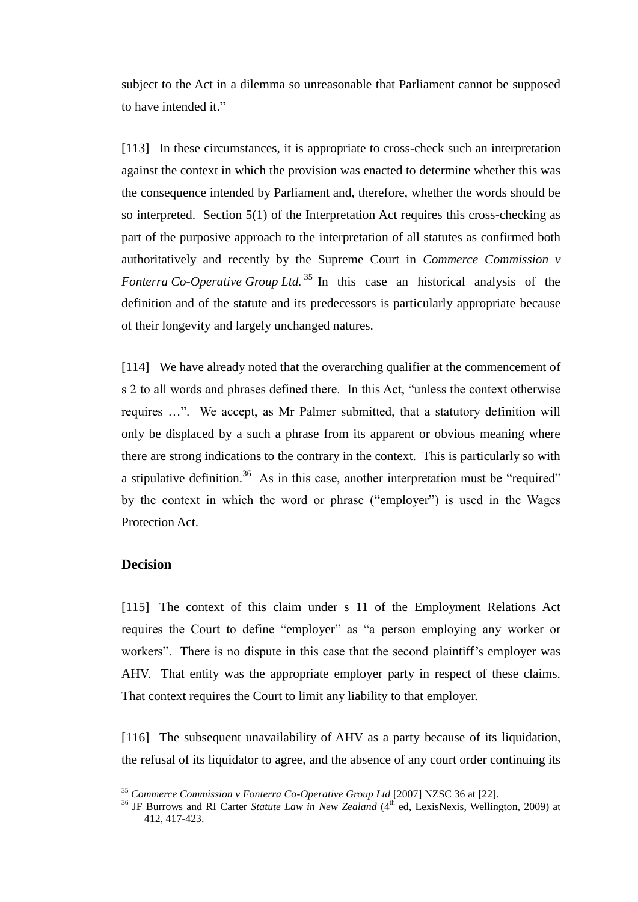subject to the Act in a dilemma so unreasonable that Parliament cannot be supposed to have intended it."

[113] In these circumstances, it is appropriate to cross-check such an interpretation against the context in which the provision was enacted to determine whether this was the consequence intended by Parliament and, therefore, whether the words should be so interpreted. Section 5(1) of the Interpretation Act requires this cross-checking as part of the purposive approach to the interpretation of all statutes as confirmed both authoritatively and recently by the Supreme Court in *Commerce Commission v Fonterra Co-Operative Group Ltd.* <sup>35</sup> In this case an historical analysis of the definition and of the statute and its predecessors is particularly appropriate because of their longevity and largely unchanged natures.

[114] We have already noted that the overarching qualifier at the commencement of s 2 to all words and phrases defined there. In this Act, "unless the context otherwise requires …". We accept, as Mr Palmer submitted, that a statutory definition will only be displaced by a such a phrase from its apparent or obvious meaning where there are strong indications to the contrary in the context. This is particularly so with a stipulative definition.<sup>36</sup> As in this case, another interpretation must be "required" by the context in which the word or phrase ("employer") is used in the Wages Protection Act.

## **Decision**

 $\overline{a}$ 

[115] The context of this claim under s 11 of the Employment Relations Act requires the Court to define "employer" as "a person employing any worker or workers". There is no dispute in this case that the second plaintiff's employer was AHV. That entity was the appropriate employer party in respect of these claims. That context requires the Court to limit any liability to that employer.

[116] The subsequent unavailability of AHV as a party because of its liquidation, the refusal of its liquidator to agree, and the absence of any court order continuing its

<sup>35</sup> *Commerce Commission v Fonterra Co-Operative Group Ltd* [2007] NZSC 36 at [22].

<sup>&</sup>lt;sup>36</sup> JF Burrows and RI Carter *Statute Law in New Zealand* (4<sup>th</sup> ed, LexisNexis, Wellington, 2009) at 412, 417-423.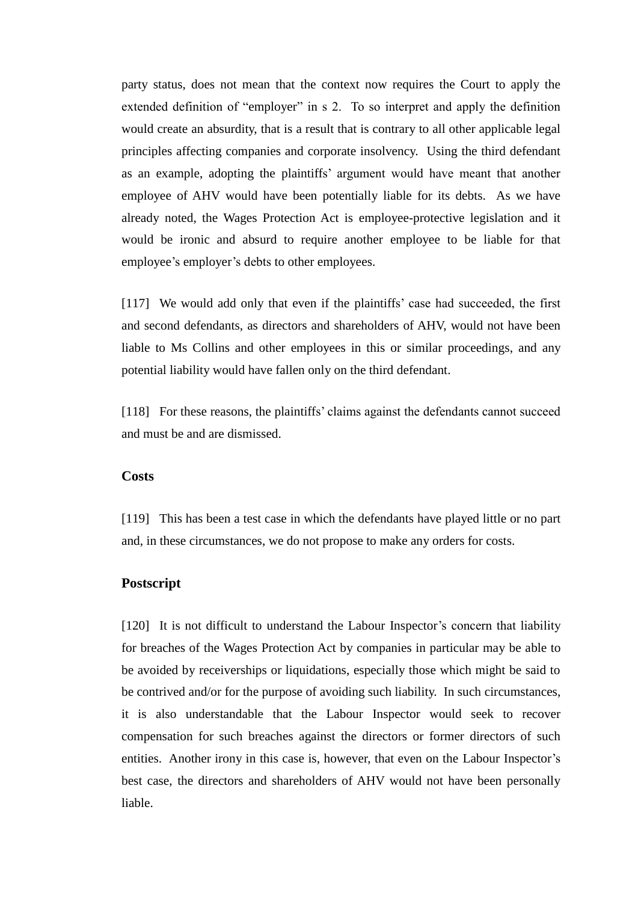party status, does not mean that the context now requires the Court to apply the extended definition of "employer" in s 2. To so interpret and apply the definition would create an absurdity, that is a result that is contrary to all other applicable legal principles affecting companies and corporate insolvency. Using the third defendant as an example, adopting the plaintiffs' argument would have meant that another employee of AHV would have been potentially liable for its debts. As we have already noted, the Wages Protection Act is employee-protective legislation and it would be ironic and absurd to require another employee to be liable for that employee's employer's debts to other employees.

[117] We would add only that even if the plaintiffs' case had succeeded, the first and second defendants, as directors and shareholders of AHV, would not have been liable to Ms Collins and other employees in this or similar proceedings, and any potential liability would have fallen only on the third defendant.

[118] For these reasons, the plaintiffs' claims against the defendants cannot succeed and must be and are dismissed.

### **Costs**

[119] This has been a test case in which the defendants have played little or no part and, in these circumstances, we do not propose to make any orders for costs.

## **Postscript**

[120] It is not difficult to understand the Labour Inspector's concern that liability for breaches of the Wages Protection Act by companies in particular may be able to be avoided by receiverships or liquidations, especially those which might be said to be contrived and/or for the purpose of avoiding such liability. In such circumstances, it is also understandable that the Labour Inspector would seek to recover compensation for such breaches against the directors or former directors of such entities. Another irony in this case is, however, that even on the Labour Inspector's best case, the directors and shareholders of AHV would not have been personally liable.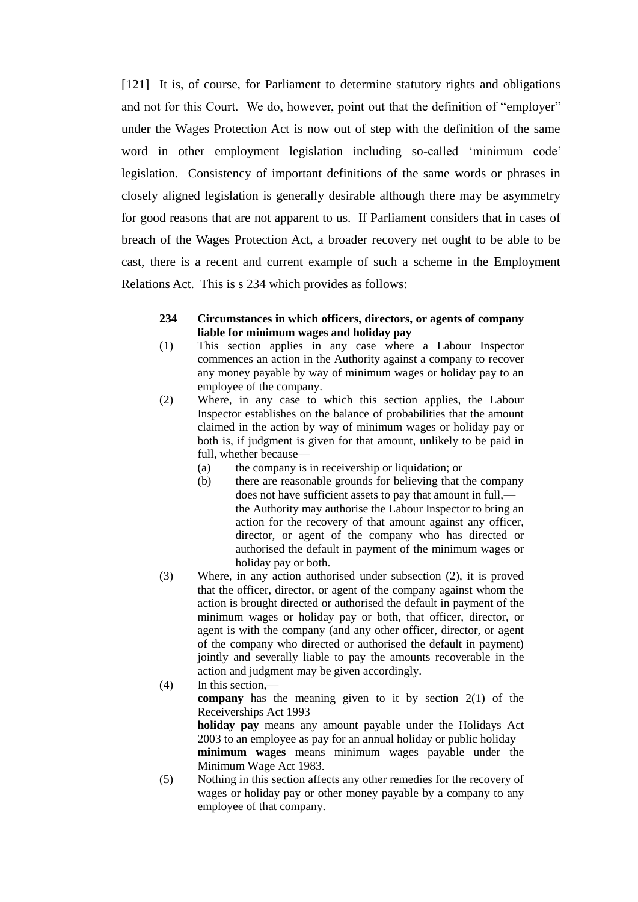[121] It is, of course, for Parliament to determine statutory rights and obligations and not for this Court. We do, however, point out that the definition of "employer" under the Wages Protection Act is now out of step with the definition of the same word in other employment legislation including so-called 'minimum code' legislation. Consistency of important definitions of the same words or phrases in closely aligned legislation is generally desirable although there may be asymmetry for good reasons that are not apparent to us. If Parliament considers that in cases of breach of the Wages Protection Act, a broader recovery net ought to be able to be cast, there is a recent and current example of such a scheme in the Employment Relations Act. This is s 234 which provides as follows:

#### **234 Circumstances in which officers, directors, or agents of company liable for minimum wages and holiday pay**

- (1) This section applies in any case where a Labour Inspector commences an action in the Authority against a company to recover any money payable by way of minimum wages or holiday pay to an employee of the company.
- (2) Where, in any case to which this section applies, the Labour Inspector establishes on the balance of probabilities that the amount claimed in the action by way of minimum wages or holiday pay or both is, if judgment is given for that amount, unlikely to be paid in full, whether because—
	- (a) the company is in receivership or liquidation; or
	- (b) there are reasonable grounds for believing that the company does not have sufficient assets to pay that amount in full, the Authority may authorise the Labour Inspector to bring an action for the recovery of that amount against any officer, director, or agent of the company who has directed or authorised the default in payment of the minimum wages or holiday pay or both.
- (3) Where, in any action authorised under subsection (2), it is proved that the officer, director, or agent of the company against whom the action is brought directed or authorised the default in payment of the minimum wages or holiday pay or both, that officer, director, or agent is with the company (and any other officer, director, or agent of the company who directed or authorised the default in payment) jointly and severally liable to pay the amounts recoverable in the action and judgment may be given accordingly.
- (4) In this section, **company** has the meaning given to it by section 2(1) of the Receiverships Act 1993 **holiday pay** means any amount payable under the Holidays Act 2003 to an employee as pay for an annual holiday or public holiday **minimum wages** means minimum wages payable under the Minimum Wage Act 1983. (5) Nothing in this section affects any other remedies for the recovery of
- wages or holiday pay or other money payable by a company to any employee of that company.